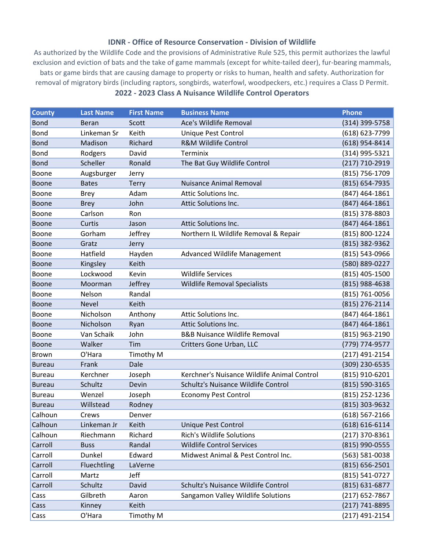## **IDNR - Office of Resource Conservation - Division of Wildlife**

As authorized by the Wildlife Code and the provisions of Administrative Rule 525, this permit authorizes the lawful exclusion and eviction of bats and the take of game mammals (except for white-tailed deer), fur-bearing mammals, bats or game birds that are causing damage to property or risks to human, health and safety. Authorization for removal of migratory birds (including raptors, songbirds, waterfowl, woodpeckers, etc.) requires a Class D Permit. **2022 - 2023 Class A Nuisance Wildlife Control Operators**

| <b>County</b> | <b>Last Name</b> | <b>First Name</b> | <b>Business Name</b>                        | <b>Phone</b>       |
|---------------|------------------|-------------------|---------------------------------------------|--------------------|
| <b>Bond</b>   | <b>Beran</b>     | Scott             | Ace's Wildlife Removal                      | (314) 399-5758     |
| <b>Bond</b>   | Linkeman Sr      | Keith             | <b>Unique Pest Control</b>                  | (618) 623-7799     |
| <b>Bond</b>   | Madison          | Richard           | <b>R&amp;M Wildlife Control</b>             | (618) 954-8414     |
| <b>Bond</b>   | Rodgers          | David             | Terminix                                    | (314) 995-5321     |
| <b>Bond</b>   | Scheller         | Ronald            | The Bat Guy Wildlife Control                | (217) 710-2919     |
| <b>Boone</b>  | Augsburger       | Jerry             |                                             | (815) 756-1709     |
| <b>Boone</b>  | <b>Bates</b>     | <b>Terry</b>      | <b>Nuisance Animal Removal</b>              | (815) 654-7935     |
| Boone         | <b>Brey</b>      | Adam              | <b>Attic Solutions Inc.</b>                 | (847) 464-1861     |
| <b>Boone</b>  | <b>Brey</b>      | John              | Attic Solutions Inc.                        | (847) 464-1861     |
| Boone         | Carlson          | Ron               |                                             | (815) 378-8803     |
| Boone         | Curtis           | Jason             | Attic Solutions Inc.                        | $(847)$ 464-1861   |
| Boone         | Gorham           | Jeffrey           | Northern IL Wildlife Removal & Repair       | (815) 800-1224     |
| <b>Boone</b>  | Gratz            | Jerry             |                                             | (815) 382-9362     |
| Boone         | Hatfield         | Hayden            | <b>Advanced Wildlife Management</b>         | (815) 543-0966     |
| <b>Boone</b>  | Kingsley         | Keith             |                                             | (580) 889-0227     |
| Boone         | Lockwood         | Kevin             | <b>Wildlife Services</b>                    | (815) 405-1500     |
| <b>Boone</b>  | Moorman          | Jeffrey           | Wildlife Removal Specialists                | (815) 988-4638     |
| <b>Boone</b>  | Nelson           | Randal            |                                             | (815) 761-0056     |
| <b>Boone</b>  | <b>Nevel</b>     | Keith             |                                             | (815) 276-2114     |
| Boone         | Nicholson        | Anthony           | Attic Solutions Inc.                        | (847) 464-1861     |
| Boone         | Nicholson        | Ryan              | Attic Solutions Inc.                        | $(847)$ 464-1861   |
| Boone         | Van Schaik       | John              | <b>B&amp;B Nuisance Wildlife Removal</b>    | (815) 963-2190     |
| <b>Boone</b>  | Walker           | Tim               | Critters Gone Urban, LLC                    | (779) 774-9577     |
| <b>Brown</b>  | O'Hara           | <b>Timothy M</b>  |                                             | $(217)$ 491-2154   |
| <b>Bureau</b> | Frank            | Dale              |                                             | (309) 230-6535     |
| <b>Bureau</b> | Kerchner         | Joseph            | Kerchner's Nuisance Wildlife Animal Control | (815) 910-6201     |
| <b>Bureau</b> | Schultz          | Devin             | Schultz's Nuisance Wildlife Control         | (815) 590-3165     |
| <b>Bureau</b> | Wenzel           | Joseph            | <b>Economy Pest Control</b>                 | (815) 252-1236     |
| <b>Bureau</b> | Willstead        | Rodney            |                                             | (815) 303-9632     |
| Calhoun       | Crews            | Denver            |                                             | (618) 567-2166     |
| Calhoun       | Linkeman Jr      | Keith             | <b>Unique Pest Control</b>                  | $(618) 616 - 6114$ |
| Calhoun       | Riechmann        | Richard           | <b>Rich's Wildlife Solutions</b>            | $(217)$ 370-8361   |
| Carroll       | <b>Buss</b>      | Randal            | <b>Wildlife Control Services</b>            | (815) 990-0555     |
| Carroll       | Dunkel           | Edward            | Midwest Animal & Pest Control Inc.          | (563) 581-0038     |
| Carroll       | Fluechtling      | LaVerne           |                                             | $(815) 656 - 2501$ |
| Carroll       | Martz            | Jeff              |                                             | (815) 541-0727     |
| Carroll       | Schultz          | David             | Schultz's Nuisance Wildlife Control         | $(815) 631 - 6877$ |
| Cass          | Gilbreth         | Aaron             | Sangamon Valley Wildlife Solutions          | (217) 652-7867     |
| Cass          | Kinney           | Keith             |                                             | (217) 741-8895     |
| Cass          | O'Hara           | Timothy M         |                                             | (217) 491-2154     |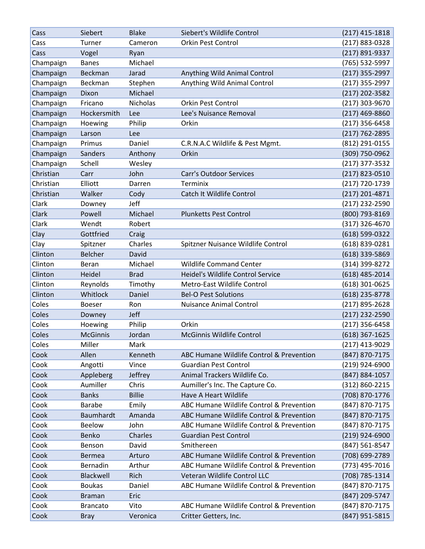| Cass      | Siebert         | <b>Blake</b>  | Siebert's Wildlife Control               | $(217)$ 415-1818 |
|-----------|-----------------|---------------|------------------------------------------|------------------|
| Cass      | Turner          | Cameron       | <b>Orkin Pest Control</b>                | (217) 883-0328   |
| Cass      | Vogel           | Ryan          |                                          | (217) 891-9337   |
| Champaign | <b>Banes</b>    | Michael       |                                          | (765) 532-5997   |
| Champaign | Beckman         | Jarad         | Anything Wild Animal Control             | (217) 355-2997   |
| Champaign | Beckman         | Stephen       | Anything Wild Animal Control             | (217) 355-2997   |
| Champaign | Dixon           | Michael       |                                          | $(217)$ 202-3582 |
| Champaign | Fricano         | Nicholas      | <b>Orkin Pest Control</b>                | (217) 303-9670   |
| Champaign | Hockersmith     | Lee           | Lee's Nuisance Removal                   | $(217)$ 469-8860 |
| Champaign | Hoewing         | Philip        | Orkin                                    | (217) 356-6458   |
| Champaign | Larson          | Lee           |                                          | (217) 762-2895   |
| Champaign | Primus          | Daniel        | C.R.N.A.C Wildlife & Pest Mgmt.          | (812) 291-0155   |
| Champaign | <b>Sanders</b>  | Anthony       | Orkin                                    | (309) 750-0962   |
| Champaign | Schell          | Wesley        |                                          | (217) 377-3532   |
| Christian | Carr            | John          | <b>Carr's Outdoor Services</b>           | (217) 823-0510   |
| Christian | Elliott         | Darren        | Terminix                                 | (217) 720-1739   |
| Christian | Walker          | Cody          | Catch It Wildlife Control                | $(217)$ 201-4871 |
| Clark     | Downey          | Jeff          |                                          | (217) 232-2590   |
| Clark     | Powell          | Michael       | <b>Plunketts Pest Control</b>            | (800) 793-8169   |
| Clark     | Wendt           | Robert        |                                          | $(317)$ 326-4670 |
| Clay      | Gottfried       | Craig         |                                          | $(618)$ 599-0322 |
| Clay      | Spitzner        | Charles       | Spitzner Nuisance Wildlife Control       | (618) 839-0281   |
| Clinton   | <b>Belcher</b>  | David         |                                          | (618) 339-5869   |
| Clinton   | Beran           | Michael       | <b>Wildlife Command Center</b>           | (314) 399-8272   |
| Clinton   | Heidel          | <b>Brad</b>   | Heidel's Wildlife Control Service        | $(618)$ 485-2014 |
| Clinton   | Reynolds        | Timothy       | Metro-East Wildlife Control              | $(618)$ 301-0625 |
| Clinton   | Whitlock        | Daniel        | <b>Bel-O Pest Solutions</b>              | (618) 235-8778   |
| Coles     | <b>Boeser</b>   | Ron           | <b>Nuisance Animal Control</b>           | (217) 895-2628   |
| Coles     | Downey          | Jeff          |                                          | (217) 232-2590   |
| Coles     | Hoewing         | Philip        | Orkin                                    | (217) 356-6458   |
| Coles     | <b>McGinnis</b> | Jordan        | <b>McGinnis Wildlife Control</b>         | (618) 367-1625   |
| Coles     | Miller          | Mark          |                                          | $(217)$ 413-9029 |
| Cook      | Allen           | Kenneth       | ABC Humane Wildlife Control & Prevention | (847) 870-7175   |
| Cook      | Angotti         | Vince         | <b>Guardian Pest Control</b>             | (219) 924-6900   |
| Cook      | Appleberg       | Jeffrey       | Animal Trackers Wildlife Co.             | (847) 884-1057   |
| Cook      | Aumiller        | Chris         | Aumiller's Inc. The Capture Co.          | (312) 860-2215   |
| Cook      | <b>Banks</b>    | <b>Billie</b> | Have A Heart Wildlife                    | (708) 870-1776   |
| Cook      | <b>Barabe</b>   | Emily         | ABC Humane Wildlife Control & Prevention | (847) 870-7175   |
| Cook      | Baumhardt       | Amanda        | ABC Humane Wildlife Control & Prevention | (847) 870-7175   |
| Cook      | <b>Beelow</b>   | John          | ABC Humane Wildlife Control & Prevention | (847) 870-7175   |
| Cook      | Benko           | Charles       | <b>Guardian Pest Control</b>             | $(219)$ 924-6900 |
| Cook      | Benson          | David         | Smithereen                               | (847) 561-8547   |
| Cook      | <b>Bermea</b>   | Arturo        | ABC Humane Wildlife Control & Prevention | (708) 699-2789   |
| Cook      | Bernadin        | Arthur        | ABC Humane Wildlife Control & Prevention | (773) 495-7016   |
| Cook      | Blackwell       | Rich          | Veteran Wildlife Control LLC             | (708) 785-1314   |
| Cook      | <b>Boukas</b>   | Daniel        | ABC Humane Wildlife Control & Prevention | (847) 870-7175   |
| Cook      | <b>Braman</b>   | Eric          |                                          | (847) 209-5747   |
| Cook      | <b>Brancato</b> | Vito          | ABC Humane Wildlife Control & Prevention | (847) 870-7175   |
| Cook      | <b>Bray</b>     | Veronica      | Critter Getters, Inc.                    | (847) 951-5815   |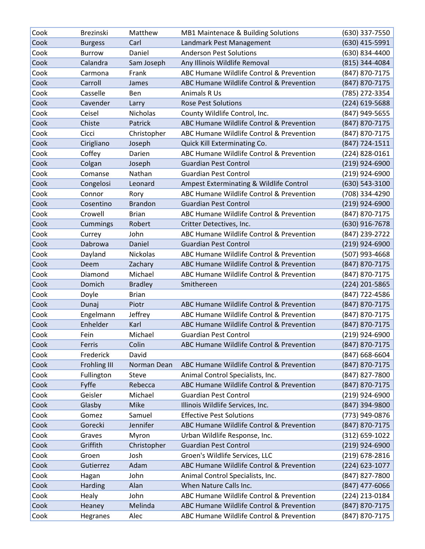| Cook | <b>Brezinski</b>    | Matthew         | MB1 Maintenace & Building Solutions      | (630) 337-7550   |
|------|---------------------|-----------------|------------------------------------------|------------------|
| Cook | <b>Burgess</b>      | Carl            | Landmark Pest Management                 | (630) 415-5991   |
| Cook | <b>Burrow</b>       | Daniel          | <b>Anderson Pest Solutions</b>           | (630) 834-4400   |
| Cook | Calandra            | Sam Joseph      | Any Illinois Wildlife Removal            | (815) 344-4084   |
| Cook | Carmona             | Frank           | ABC Humane Wildlife Control & Prevention | (847) 870-7175   |
| Cook | Carroll             | James           | ABC Humane Wildlife Control & Prevention | (847) 870-7175   |
| Cook | Casselle            | Ben             | Animals R Us                             | (785) 272-3354   |
| Cook | Cavender            | Larry           | <b>Rose Pest Solutions</b>               | (224) 619-5688   |
| Cook | Ceisel              | <b>Nicholas</b> | County Wildlife Control, Inc.            | (847) 949-5655   |
| Cook | Chiste              | Patrick         | ABC Humane Wildlife Control & Prevention | (847) 870-7175   |
| Cook | Cicci               | Christopher     | ABC Humane Wildlife Control & Prevention | (847) 870-7175   |
| Cook | Cirigliano          | Joseph          | Quick Kill Exterminating Co.             | (847) 724-1511   |
| Cook | Coffey              | Darien          | ABC Humane Wildlife Control & Prevention | (224) 828-0161   |
| Cook | Colgan              | Joseph          | <b>Guardian Pest Control</b>             | $(219)$ 924-6900 |
| Cook | Comanse             | Nathan          | <b>Guardian Pest Control</b>             | $(219)$ 924-6900 |
| Cook | Congelosi           | Leonard         | Ampest Exterminating & Wildlife Control  | (630) 543-3100   |
| Cook | Connor              | Rory            | ABC Humane Wildlife Control & Prevention | (708) 334-4290   |
| Cook | Cosentino           | <b>Brandon</b>  | <b>Guardian Pest Control</b>             | (219) 924-6900   |
| Cook | Crowell             | <b>Brian</b>    | ABC Humane Wildlife Control & Prevention | (847) 870-7175   |
| Cook | Cummings            | Robert          | Critter Detectives, Inc.                 | (630) 916-7678   |
| Cook | Currey              | John            | ABC Humane Wildlife Control & Prevention | (847) 239-2722   |
| Cook | Dabrowa             | Daniel          | <b>Guardian Pest Control</b>             | (219) 924-6900   |
| Cook | Dayland             | Nickolas        | ABC Humane Wildlife Control & Prevention | (507) 993-4668   |
| Cook | Deem                | Zachary         | ABC Humane Wildlife Control & Prevention | (847) 870-7175   |
| Cook | Diamond             | Michael         | ABC Humane Wildlife Control & Prevention | (847) 870-7175   |
| Cook | Domich              | <b>Bradley</b>  | Smithereen                               | (224) 201-5865   |
| Cook | Doyle               | <b>Brian</b>    |                                          | (847) 722-4586   |
| Cook | Dunaj               | Piotr           | ABC Humane Wildlife Control & Prevention | (847) 870-7175   |
| Cook | Engelmann           | Jeffrey         | ABC Humane Wildlife Control & Prevention | (847) 870-7175   |
| Cook | Enhelder            | Karl            | ABC Humane Wildlife Control & Prevention | (847) 870-7175   |
| Cook | Fein                | Michael         | <b>Guardian Pest Control</b>             | (219) 924-6900   |
| Cook | Ferris              | Colin           | ABC Humane Wildlife Control & Prevention | (847) 870-7175   |
| Cook | Frederick           | David           |                                          | (847) 668-6604   |
| Cook | <b>Frohling III</b> | Norman Dean     | ABC Humane Wildlife Control & Prevention | (847) 870-7175   |
| Cook | Fullington          | Steve           | Animal Control Specialists, Inc.         | (847) 827-7800   |
| Cook | Fyffe               | Rebecca         | ABC Humane Wildlife Control & Prevention | (847) 870-7175   |
| Cook | Geisler             | Michael         | <b>Guardian Pest Control</b>             | (219) 924-6900   |
| Cook | Glasby              | Mike            | Illinois Wildlife Services, Inc.         | (847) 394-9800   |
| Cook | Gomez               | Samuel          | <b>Effective Pest Solutions</b>          | (773) 949-0876   |
| Cook | Gorecki             | Jennifer        | ABC Humane Wildlife Control & Prevention | (847) 870-7175   |
| Cook | Graves              | Myron           | Urban Wildlife Response, Inc.            | (312) 659-1022   |
| Cook | Griffith            | Christopher     | <b>Guardian Pest Control</b>             | (219) 924-6900   |
| Cook | Groen               | Josh            | Groen's Wildlife Services, LLC           | (219) 678-2816   |
| Cook | Gutierrez           | Adam            | ABC Humane Wildlife Control & Prevention | (224) 623-1077   |
| Cook | Hagan               | John            | Animal Control Specialists, Inc.         | (847) 827-7800   |
| Cook | Harding             | Alan            | When Nature Calls Inc.                   | $(847)$ 477-6066 |
| Cook | Healy               | John            | ABC Humane Wildlife Control & Prevention | (224) 213-0184   |
| Cook | Heaney              | Melinda         | ABC Humane Wildlife Control & Prevention | (847) 870-7175   |
| Cook | Hegranes            | Alec            | ABC Humane Wildlife Control & Prevention | (847) 870-7175   |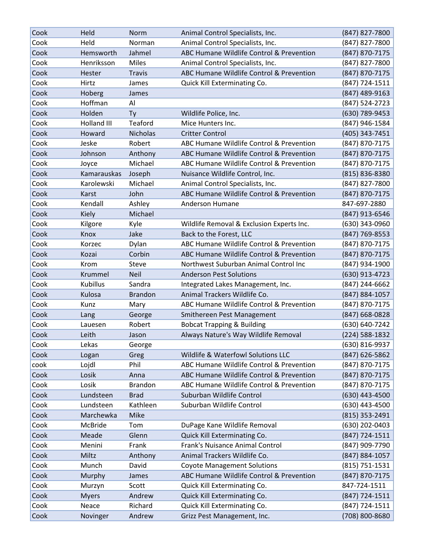| Cook | Held               | Norm            | Animal Control Specialists, Inc.          | (847) 827-7800   |
|------|--------------------|-----------------|-------------------------------------------|------------------|
| Cook | Held               | Norman          | Animal Control Specialists, Inc.          | (847) 827-7800   |
| Cook | Hemsworth          | Jahmel          | ABC Humane Wildlife Control & Prevention  | (847) 870-7175   |
| Cook | Henriksson         | Miles           | Animal Control Specialists, Inc.          | (847) 827-7800   |
| Cook | Hester             | <b>Travis</b>   | ABC Humane Wildlife Control & Prevention  | (847) 870-7175   |
| Cook | Hirtz              | James           | Quick Kill Exterminating Co.              | (847) 724-1511   |
| Cook | Hoberg             | James           |                                           | (847) 489-9163   |
| Cook | Hoffman            | Al              |                                           | (847) 524-2723   |
| Cook | Holden             | Ty              | Wildlife Police, Inc.                     | (630) 789-9453   |
| Cook | <b>Holland III</b> | Teaford         | Mice Hunters Inc.                         | (847) 946-1584   |
| Cook | Howard             | <b>Nicholas</b> | <b>Critter Control</b>                    | (405) 343-7451   |
| Cook | Jeske              | Robert          | ABC Humane Wildlife Control & Prevention  | (847) 870-7175   |
| Cook | Johnson            | Anthony         | ABC Humane Wildlife Control & Prevention  | (847) 870-7175   |
| Cook | Joyce              | Michael         | ABC Humane Wildlife Control & Prevention  | (847) 870-7175   |
| Cook | Kamarauskas        | Joseph          | Nuisance Wildlife Control, Inc.           | (815) 836-8380   |
| Cook | Karolewski         | Michael         | Animal Control Specialists, Inc.          | (847) 827-7800   |
| Cook | Karst              | John            | ABC Humane Wildlife Control & Prevention  | (847) 870-7175   |
| Cook | Kendall            | Ashley          | Anderson Humane                           | 847-697-2880     |
| Cook | Kiely              | Michael         |                                           | (847) 913-6546   |
| Cook | Kilgore            | Kyle            | Wildlife Removal & Exclusion Experts Inc. | (630) 343-0960   |
| Cook | Knox               | Jake            | Back to the Forest, LLC                   | (847) 769-8553   |
| Cook | Korzec             | Dylan           | ABC Humane Wildlife Control & Prevention  | (847) 870-7175   |
| Cook | Kozai              | Corbin          | ABC Humane Wildlife Control & Prevention  | (847) 870-7175   |
| Cook | Krom               | Steve           | Northwest Suburban Animal Control Inc     | (847) 934-1900   |
| Cook | Krummel            | <b>Neil</b>     | <b>Anderson Pest Solutions</b>            | (630) 913-4723   |
| Cook | <b>Kubillus</b>    | Sandra          | Integrated Lakes Management, Inc.         | (847) 244-6662   |
| Cook | Kulosa             | <b>Brandon</b>  | Animal Trackers Wildlife Co.              | (847) 884-1057   |
| Cook | Kunz               | Mary            | ABC Humane Wildlife Control & Prevention  | (847) 870-7175   |
| Cook | Lang               | George          | Smithereen Pest Management                | (847) 668-0828   |
| Cook | Lauesen            | Robert          | <b>Bobcat Trapping &amp; Building</b>     | (630) 640-7242   |
| Cook | Leith              | Jason           | Always Nature's Way Wildlife Removal      | (224) 588-1832   |
| Cook | Lekas              | George          |                                           | (630) 816-9937   |
| Cook | Logan              | Greg            | Wildlife & Waterfowl Solutions LLC        | (847) 626-5862   |
| cook | Lojdl              | Phil            | ABC Humane Wildlife Control & Prevention  | (847) 870-7175   |
| Cook | Losik              | Anna            | ABC Humane Wildlife Control & Prevention  | (847) 870-7175   |
| Cook | Losik              | <b>Brandon</b>  | ABC Humane Wildlife Control & Prevention  | (847) 870-7175   |
| Cook | Lundsteen          | <b>Brad</b>     | Suburban Wildlife Control                 | (630) 443-4500   |
| Cook | Lundsteen          | Kathleen        | Suburban Wildlife Control                 | (630) 443-4500   |
| Cook | Marchewka          | Mike            |                                           | $(815)$ 353-2491 |
| Cook | McBride            | Tom             | DuPage Kane Wildlife Removal              | (630) 202-0403   |
| Cook | Meade              | Glenn           | Quick Kill Exterminating Co.              | (847) 724-1511   |
| Cook | Menini             | Frank           | Frank's Nuisance Animal Control           | (847) 909-7790   |
| Cook | Miltz              | Anthony         | Animal Trackers Wildlife Co.              | (847) 884-1057   |
| Cook | Munch              | David           | <b>Coyote Management Solutions</b>        | (815) 751-1531   |
| Cook | Murphy             | James           | ABC Humane Wildlife Control & Prevention  | (847) 870-7175   |
| Cook | Murzyn             | Scott           | Quick Kill Exterminating Co.              | 847-724-1511     |
| Cook | <b>Myers</b>       | Andrew          | Quick Kill Exterminating Co.              | (847) 724-1511   |
| Cook | Neace              | Richard         | Quick Kill Exterminating Co.              | (847) 724-1511   |
| Cook | Novinger           | Andrew          | Grizz Pest Management, Inc.               | (708) 800-8680   |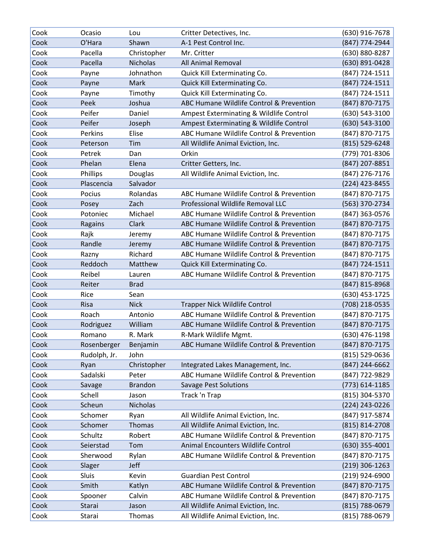| Cook | Ocasio       | Lou             | Critter Detectives, Inc.                 | (630) 916-7678   |
|------|--------------|-----------------|------------------------------------------|------------------|
| Cook | O'Hara       | Shawn           | A-1 Pest Control Inc.                    | (847) 774-2944   |
| Cook | Pacella      | Christopher     | Mr. Critter                              | (630) 880-8287   |
| Cook | Pacella      | <b>Nicholas</b> | All Animal Removal                       | (630) 891-0428   |
| Cook | Payne        | Johnathon       | Quick Kill Exterminating Co.             | (847) 724-1511   |
| Cook | Payne        | Mark            | Quick Kill Exterminating Co.             | (847) 724-1511   |
| Cook | Payne        | Timothy         | Quick Kill Exterminating Co.             | (847) 724-1511   |
| Cook | Peek         | Joshua          | ABC Humane Wildlife Control & Prevention | (847) 870-7175   |
| Cook | Peifer       | Daniel          | Ampest Exterminating & Wildlife Control  | (630) 543-3100   |
| Cook | Peifer       | Joseph          | Ampest Exterminating & Wildlife Control  | (630) 543-3100   |
| Cook | Perkins      | Elise           | ABC Humane Wildlife Control & Prevention | (847) 870-7175   |
| Cook | Peterson     | Tim             | All Wildlife Animal Eviction, Inc.       | (815) 529-6248   |
| Cook | Petrek       | Dan             | Orkin                                    | (779) 701-8306   |
| Cook | Phelan       | Elena           | Critter Getters, Inc.                    | (847) 207-8851   |
| Cook | Phillips     | Douglas         | All Wildlife Animal Eviction, Inc.       | (847) 276-7176   |
| Cook | Plascencia   | Salvador        |                                          | (224) 423-8455   |
| Cook | Pocius       | Rolandas        | ABC Humane Wildlife Control & Prevention | (847) 870-7175   |
| Cook | Posey        | Zach            | Professional Wildlife Removal LLC        | (563) 370-2734   |
| Cook | Potoniec     | Michael         | ABC Humane Wildlife Control & Prevention | (847) 363-0576   |
| Cook | Ragains      | Clark           | ABC Humane Wildlife Control & Prevention | (847) 870-7175   |
| Cook | Rajk         | Jeremy          | ABC Humane Wildlife Control & Prevention | (847) 870-7175   |
| Cook | Randle       | Jeremy          | ABC Humane Wildlife Control & Prevention | (847) 870-7175   |
| Cook | Razny        | Richard         | ABC Humane Wildlife Control & Prevention | (847) 870-7175   |
| Cook | Reddoch      | Matthew         | Quick Kill Exterminating Co.             | (847) 724-1511   |
| Cook | Reibel       | Lauren          | ABC Humane Wildlife Control & Prevention | (847) 870-7175   |
| Cook | Reiter       | <b>Brad</b>     |                                          | (847) 815-8968   |
| Cook | Rice         | Sean            |                                          | (630) 453-1725   |
| Cook | <b>Risa</b>  | <b>Nick</b>     | <b>Trapper Nick Wildlife Control</b>     | (708) 218-0535   |
| Cook | Roach        | Antonio         | ABC Humane Wildlife Control & Prevention | (847) 870-7175   |
| Cook | Rodriguez    | William         | ABC Humane Wildlife Control & Prevention | (847) 870-7175   |
| Cook | Romano       | R. Mark         | R-Mark Wildlife Mgmt.                    | (630) 476-1198   |
| Cook | Rosenberger  | Benjamin        | ABC Humane Wildlife Control & Prevention | (847) 870-7175   |
| Cook | Rudolph, Jr. | John            |                                          | (815) 529-0636   |
| Cook | Ryan         | Christopher     | Integrated Lakes Management, Inc.        | (847) 244-6662   |
| Cook | Sadalski     | Peter           | ABC Humane Wildlife Control & Prevention | (847) 722-9829   |
| Cook | Savage       | <b>Brandon</b>  | <b>Savage Pest Solutions</b>             | (773) 614-1185   |
| Cook | Schell       | Jason           | Track 'n Trap                            | (815) 304-5370   |
| Cook | Scheun       | <b>Nicholas</b> |                                          | (224) 243-0226   |
| Cook | Schomer      | Ryan            | All Wildlife Animal Eviction, Inc.       | (847) 917-5874   |
| Cook | Schomer      | Thomas          | All Wildlife Animal Eviction, Inc.       | (815) 814-2708   |
| Cook | Schultz      | Robert          | ABC Humane Wildlife Control & Prevention | (847) 870-7175   |
| Cook | Seierstad    | Tom             | Animal Encounters Wildlife Control       | $(630)$ 355-4001 |
| Cook | Sherwood     | Rylan           | ABC Humane Wildlife Control & Prevention | (847) 870-7175   |
| Cook | Slager       | Jeff            |                                          | $(219)$ 306-1263 |
| Cook | Sluis        | Kevin           | <b>Guardian Pest Control</b>             | $(219)$ 924-6900 |
| Cook | Smith        | Katlyn          | ABC Humane Wildlife Control & Prevention | (847) 870-7175   |
| Cook | Spooner      | Calvin          | ABC Humane Wildlife Control & Prevention | (847) 870-7175   |
| Cook | Starai       | Jason           | All Wildlife Animal Eviction, Inc.       | (815) 788-0679   |
| Cook | Starai       | Thomas          | All Wildlife Animal Eviction, Inc.       | (815) 788-0679   |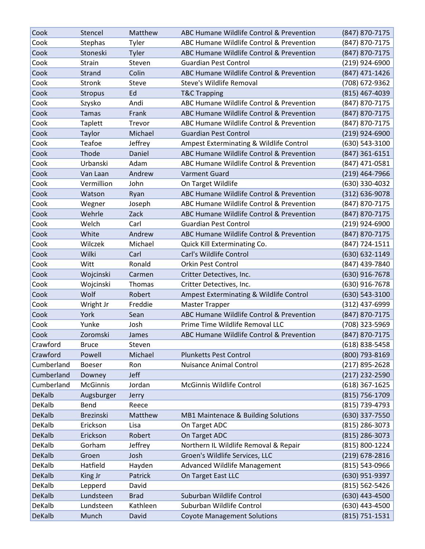| Cook          | Stencel         | Matthew     | ABC Humane Wildlife Control & Prevention | (847) 870-7175   |
|---------------|-----------------|-------------|------------------------------------------|------------------|
| Cook          | Stephas         | Tyler       | ABC Humane Wildlife Control & Prevention | (847) 870-7175   |
| Cook          | Stoneski        | Tyler       | ABC Humane Wildlife Control & Prevention | (847) 870-7175   |
| Cook          | Strain          | Steven      | <b>Guardian Pest Control</b>             | (219) 924-6900   |
| Cook          | Strand          | Colin       | ABC Humane Wildlife Control & Prevention | (847) 471-1426   |
| Cook          | Stronk          | Steve       | Steve's Wildlife Removal                 | (708) 672-9362   |
| Cook          | <b>Stropus</b>  | Ed          | <b>T&amp;C Trapping</b>                  | (815) 467-4039   |
| Cook          | Szysko          | Andi        | ABC Humane Wildlife Control & Prevention | (847) 870-7175   |
| Cook          | <b>Tamas</b>    | Frank       | ABC Humane Wildlife Control & Prevention | (847) 870-7175   |
| Cook          | Taplett         | Trevor      | ABC Humane Wildlife Control & Prevention | (847) 870-7175   |
| Cook          | Taylor          | Michael     | <b>Guardian Pest Control</b>             | $(219)$ 924-6900 |
| Cook          | Teafoe          | Jeffrey     | Ampest Exterminating & Wildlife Control  | (630) 543-3100   |
| Cook          | Thode           | Daniel      | ABC Humane Wildlife Control & Prevention | $(847)$ 361-6151 |
| Cook          | Urbanski        | Adam        | ABC Humane Wildlife Control & Prevention | (847) 471-0581   |
| Cook          | Van Laan        | Andrew      | <b>Varment Guard</b>                     | $(219)$ 464-7966 |
| Cook          | Vermillion      | John        | On Target Wildlife                       | (630) 330-4032   |
| Cook          | Watson          | Ryan        | ABC Humane Wildlife Control & Prevention | (312) 636-9078   |
| Cook          | Wegner          | Joseph      | ABC Humane Wildlife Control & Prevention | (847) 870-7175   |
| Cook          | Wehrle          | Zack        | ABC Humane Wildlife Control & Prevention | (847) 870-7175   |
| Cook          | Welch           | Carl        | <b>Guardian Pest Control</b>             | (219) 924-6900   |
| Cook          | White           | Andrew      | ABC Humane Wildlife Control & Prevention | (847) 870-7175   |
| Cook          | Wilczek         | Michael     | Quick Kill Exterminating Co.             | (847) 724-1511   |
| Cook          | Wilki           | Carl        | Carl's Wildlife Control                  | (630) 632-1149   |
| Cook          | Witt            | Ronald      | <b>Orkin Pest Control</b>                | (847) 439-7840   |
| Cook          | Wojcinski       | Carmen      | Critter Detectives, Inc.                 | (630) 916-7678   |
| Cook          | Wojcinski       | Thomas      | Critter Detectives, Inc.                 | (630) 916-7678   |
| Cook          | Wolf            | Robert      | Ampest Exterminating & Wildlife Control  | (630) 543-3100   |
| Cook          | Wright Jr       | Freddie     | <b>Master Trapper</b>                    | (312) 437-6999   |
| Cook          | York            | Sean        | ABC Humane Wildlife Control & Prevention | (847) 870-7175   |
| Cook          | Yunke           | Josh        | Prime Time Wildlife Removal LLC          | (708) 323-5969   |
| Cook          | Zoromski        | James       | ABC Humane Wildlife Control & Prevention | (847) 870-7175   |
| Crawford      | <b>Bruce</b>    | Steven      |                                          | (618) 838-5458   |
| Crawford      | Powell          | Michael     | <b>Plunketts Pest Control</b>            | (800) 793-8169   |
| Cumberland    | <b>Boeser</b>   | Ron         | <b>Nuisance Animal Control</b>           | (217) 895-2628   |
| Cumberland    | Downey          | Jeff        |                                          | (217) 232-2590   |
| Cumberland    | <b>McGinnis</b> | Jordan      | McGinnis Wildlife Control                | (618) 367-1625   |
| DeKalb        | Augsburger      | Jerry       |                                          | (815) 756-1709   |
| DeKalb        | Bend            | Reece       |                                          | (815) 739-4793   |
| <b>DeKalb</b> | Brezinski       | Matthew     | MB1 Maintenace & Building Solutions      | (630) 337-7550   |
| DeKalb        | Erickson        | Lisa        | On Target ADC                            | (815) 286-3073   |
| DeKalb        | Erickson        | Robert      | On Target ADC                            | (815) 286-3073   |
| DeKalb        | Gorham          | Jeffrey     | Northern IL Wildlife Removal & Repair    | (815) 800-1224   |
| DeKalb        | Groen           | Josh        | Groen's Wildlife Services, LLC           | (219) 678-2816   |
| DeKalb        | Hatfield        | Hayden      | Advanced Wildlife Management             | (815) 543-0966   |
| DeKalb        | King Jr         | Patrick     | On Target East LLC                       | (630) 951-9397   |
| DeKalb        | Lepperd         | David       |                                          | (815) 562-5426   |
| DeKalb        | Lundsteen       | <b>Brad</b> | Suburban Wildlife Control                | (630) 443-4500   |
| DeKalb        | Lundsteen       | Kathleen    | Suburban Wildlife Control                | (630) 443-4500   |
| DeKalb        | Munch           | David       | <b>Coyote Management Solutions</b>       | (815) 751-1531   |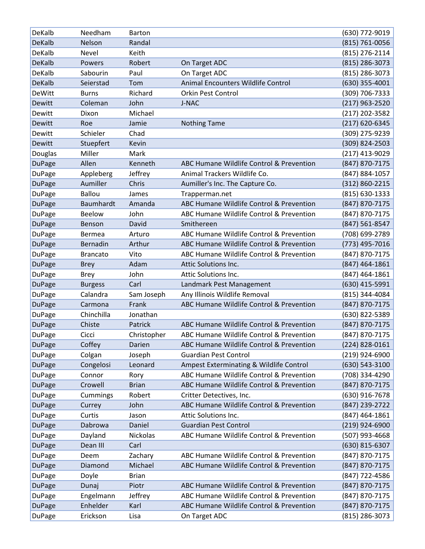| DeKalb        | Needham         | <b>Barton</b> |                                          | (630) 772-9019     |
|---------------|-----------------|---------------|------------------------------------------|--------------------|
| <b>DeKalb</b> | Nelson          | Randal        |                                          | $(815) 761 - 0056$ |
| DeKalb        | Nevel           | Keith         |                                          | (815) 276-2114     |
| <b>DeKalb</b> | Powers          | Robert        | On Target ADC                            | (815) 286-3073     |
| DeKalb        | Sabourin        | Paul          | On Target ADC                            | (815) 286-3073     |
| <b>DeKalb</b> | Seierstad       | Tom           | Animal Encounters Wildlife Control       | $(630)$ 355-4001   |
| <b>DeWitt</b> | <b>Burns</b>    | Richard       | <b>Orkin Pest Control</b>                | (309) 706-7333     |
| Dewitt        | Coleman         | John          | J-NAC                                    | (217) 963-2520     |
| Dewitt        | Dixon           | Michael       |                                          | (217) 202-3582     |
| Dewitt        | Roe             | Jamie         | <b>Nothing Tame</b>                      | (217) 620-6345     |
| Dewitt        | Schieler        | Chad          |                                          | (309) 275-9239     |
| Dewitt        | Stuepfert       | Kevin         |                                          | (309) 824-2503     |
| Douglas       | Miller          | Mark          |                                          | (217) 413-9029     |
| <b>DuPage</b> | Allen           | Kenneth       | ABC Humane Wildlife Control & Prevention | (847) 870-7175     |
| <b>DuPage</b> | Appleberg       | Jeffrey       | Animal Trackers Wildlife Co.             | (847) 884-1057     |
| <b>DuPage</b> | Aumiller        | Chris         | Aumiller's Inc. The Capture Co.          | (312) 860-2215     |
| <b>DuPage</b> | <b>Ballou</b>   | James         | Trapperman.net                           | (815) 630-1333     |
| <b>DuPage</b> | Baumhardt       | Amanda        | ABC Humane Wildlife Control & Prevention | (847) 870-7175     |
| DuPage        | <b>Beelow</b>   | John          | ABC Humane Wildlife Control & Prevention | (847) 870-7175     |
| <b>DuPage</b> | Benson          | David         | Smithereen                               | (847) 561-8547     |
| DuPage        | <b>Bermea</b>   | Arturo        | ABC Humane Wildlife Control & Prevention | (708) 699-2789     |
| <b>DuPage</b> | Bernadin        | Arthur        | ABC Humane Wildlife Control & Prevention | (773) 495-7016     |
| DuPage        | <b>Brancato</b> | Vito          | ABC Humane Wildlife Control & Prevention | (847) 870-7175     |
| <b>DuPage</b> | <b>Brey</b>     | Adam          | Attic Solutions Inc.                     | (847) 464-1861     |
| DuPage        | <b>Brey</b>     | John          | Attic Solutions Inc.                     | (847) 464-1861     |
| <b>DuPage</b> | <b>Burgess</b>  | Carl          | Landmark Pest Management                 | (630) 415-5991     |
| <b>DuPage</b> | Calandra        | Sam Joseph    | Any Illinois Wildlife Removal            | (815) 344-4084     |
| <b>DuPage</b> | Carmona         | Frank         | ABC Humane Wildlife Control & Prevention | (847) 870-7175     |
| DuPage        | Chinchilla      | Jonathan      |                                          | (630) 822-5389     |
| <b>DuPage</b> | Chiste          | Patrick       | ABC Humane Wildlife Control & Prevention | (847) 870-7175     |
| <b>DuPage</b> | Cicci           | Christopher   | ABC Humane Wildlife Control & Prevention | (847) 870-7175     |
| <b>DuPage</b> | Coffey          | Darien        | ABC Humane Wildlife Control & Prevention | $(224)$ 828-0161   |
| <b>DuPage</b> | Colgan          | Joseph        | <b>Guardian Pest Control</b>             | (219) 924-6900     |
| <b>DuPage</b> | Congelosi       | Leonard       | Ampest Exterminating & Wildlife Control  | (630) 543-3100     |
| DuPage        | Connor          | Rory          | ABC Humane Wildlife Control & Prevention | (708) 334-4290     |
| <b>DuPage</b> | Crowell         | <b>Brian</b>  | ABC Humane Wildlife Control & Prevention | (847) 870-7175     |
| DuPage        | Cummings        | Robert        | Critter Detectives, Inc.                 | (630) 916-7678     |
| <b>DuPage</b> | Currey          | John          | ABC Humane Wildlife Control & Prevention | (847) 239-2722     |
| <b>DuPage</b> | Curtis          | Jason         | Attic Solutions Inc.                     | (847) 464-1861     |
| <b>DuPage</b> | Dabrowa         | Daniel        | <b>Guardian Pest Control</b>             | $(219)$ 924-6900   |
| DuPage        | Dayland         | Nickolas      | ABC Humane Wildlife Control & Prevention | (507) 993-4668     |
| <b>DuPage</b> | Dean III        | Carl          |                                          | (630) 815-6307     |
| <b>DuPage</b> | Deem            | Zachary       | ABC Humane Wildlife Control & Prevention | (847) 870-7175     |
| <b>DuPage</b> | Diamond         | Michael       | ABC Humane Wildlife Control & Prevention | (847) 870-7175     |
| <b>DuPage</b> | Doyle           | <b>Brian</b>  |                                          | (847) 722-4586     |
| <b>DuPage</b> | Dunaj           | Piotr         | ABC Humane Wildlife Control & Prevention | (847) 870-7175     |
| DuPage        | Engelmann       | Jeffrey       | ABC Humane Wildlife Control & Prevention | (847) 870-7175     |
| <b>DuPage</b> | Enhelder        | Karl          | ABC Humane Wildlife Control & Prevention | (847) 870-7175     |
| DuPage        | Erickson        | Lisa          | On Target ADC                            | (815) 286-3073     |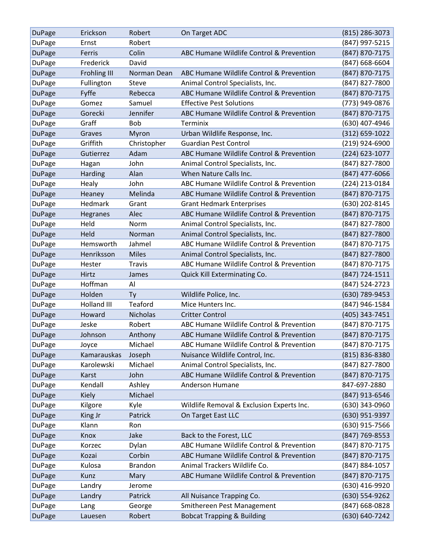| <b>DuPage</b> | Erickson     | Robert          | On Target ADC                             | $(815)$ 286-3073   |
|---------------|--------------|-----------------|-------------------------------------------|--------------------|
| DuPage        | Ernst        | Robert          |                                           | (847) 997-5215     |
| <b>DuPage</b> | Ferris       | Colin           | ABC Humane Wildlife Control & Prevention  | (847) 870-7175     |
| DuPage        | Frederick    | David           |                                           | (847) 668-6604     |
| <b>DuPage</b> | Frohling III | Norman Dean     | ABC Humane Wildlife Control & Prevention  | (847) 870-7175     |
| <b>DuPage</b> | Fullington   | Steve           | Animal Control Specialists, Inc.          | (847) 827-7800     |
| <b>DuPage</b> | Fyffe        | Rebecca         | ABC Humane Wildlife Control & Prevention  | (847) 870-7175     |
| <b>DuPage</b> | Gomez        | Samuel          | <b>Effective Pest Solutions</b>           | (773) 949-0876     |
| <b>DuPage</b> | Gorecki      | Jennifer        | ABC Humane Wildlife Control & Prevention  | (847) 870-7175     |
| DuPage        | Graff        | <b>Bob</b>      | Terminix                                  | (630) 407-4946     |
| <b>DuPage</b> | Graves       | Myron           | Urban Wildlife Response, Inc.             | $(312) 659 - 1022$ |
| DuPage        | Griffith     | Christopher     | <b>Guardian Pest Control</b>              | (219) 924-6900     |
| <b>DuPage</b> | Gutierrez    | Adam            | ABC Humane Wildlife Control & Prevention  | (224) 623-1077     |
| DuPage        | Hagan        | John            | Animal Control Specialists, Inc.          | (847) 827-7800     |
| <b>DuPage</b> | Harding      | Alan            | When Nature Calls Inc.                    | (847) 477-6066     |
| DuPage        | Healy        | John            | ABC Humane Wildlife Control & Prevention  | (224) 213-0184     |
| <b>DuPage</b> | Heaney       | Melinda         | ABC Humane Wildlife Control & Prevention  | (847) 870-7175     |
| <b>DuPage</b> | Hedmark      | Grant           | <b>Grant Hedmark Enterprises</b>          | (630) 202-8145     |
| <b>DuPage</b> | Hegranes     | Alec            | ABC Humane Wildlife Control & Prevention  | (847) 870-7175     |
| DuPage        | Held         | Norm            | Animal Control Specialists, Inc.          | (847) 827-7800     |
| <b>DuPage</b> | Held         | Norman          | Animal Control Specialists, Inc.          | (847) 827-7800     |
| DuPage        | Hemsworth    | Jahmel          | ABC Humane Wildlife Control & Prevention  | (847) 870-7175     |
| <b>DuPage</b> | Henriksson   | <b>Miles</b>    | Animal Control Specialists, Inc.          | (847) 827-7800     |
| DuPage        | Hester       | <b>Travis</b>   | ABC Humane Wildlife Control & Prevention  | (847) 870-7175     |
| <b>DuPage</b> | Hirtz        | James           | Quick Kill Exterminating Co.              | (847) 724-1511     |
| DuPage        | Hoffman      | Al              |                                           | (847) 524-2723     |
| <b>DuPage</b> | Holden       | <b>Ty</b>       | Wildlife Police, Inc.                     | (630) 789-9453     |
| DuPage        | Holland III  | Teaford         | Mice Hunters Inc.                         | (847) 946-1584     |
| <b>DuPage</b> | Howard       | <b>Nicholas</b> | <b>Critter Control</b>                    | (405) 343-7451     |
| <b>DuPage</b> | Jeske        | Robert          | ABC Humane Wildlife Control & Prevention  | (847) 870-7175     |
| <b>DuPage</b> | Johnson      | Anthony         | ABC Humane Wildlife Control & Prevention  | (847) 870-7175     |
| <b>DuPage</b> | Joyce        | Michael         | ABC Humane Wildlife Control & Prevention  | (847) 870-7175     |
| <b>DuPage</b> | Kamarauskas  | Joseph          | Nuisance Wildlife Control, Inc.           | (815) 836-8380     |
| DuPage        | Karolewski   | Michael         | Animal Control Specialists, Inc.          | (847) 827-7800     |
| <b>DuPage</b> | Karst        | John            | ABC Humane Wildlife Control & Prevention  | (847) 870-7175     |
| <b>DuPage</b> | Kendall      | Ashley          | Anderson Humane                           | 847-697-2880       |
| <b>DuPage</b> | Kiely        | Michael         |                                           | (847) 913-6546     |
| DuPage        | Kilgore      | Kyle            | Wildlife Removal & Exclusion Experts Inc. | (630) 343-0960     |
| <b>DuPage</b> | King Jr      | Patrick         | On Target East LLC                        | (630) 951-9397     |
| DuPage        | Klann        | Ron             |                                           | (630) 915-7566     |
| <b>DuPage</b> | Knox         | Jake            | Back to the Forest, LLC                   | (847) 769-8553     |
| <b>DuPage</b> | Korzec       | Dylan           | ABC Humane Wildlife Control & Prevention  | (847) 870-7175     |
| <b>DuPage</b> | Kozai        | Corbin          | ABC Humane Wildlife Control & Prevention  | (847) 870-7175     |
| <b>DuPage</b> | Kulosa       | <b>Brandon</b>  | Animal Trackers Wildlife Co.              | (847) 884-1057     |
| <b>DuPage</b> | Kunz         | Mary            | ABC Humane Wildlife Control & Prevention  | (847) 870-7175     |
| <b>DuPage</b> | Landry       | Jerome          |                                           | (630) 416-9920     |
| <b>DuPage</b> | Landry       | Patrick         | All Nuisance Trapping Co.                 | (630) 554-9262     |
| DuPage        | Lang         | George          | Smithereen Pest Management                | (847) 668-0828     |
| <b>DuPage</b> | Lauesen      | Robert          | <b>Bobcat Trapping &amp; Building</b>     | (630) 640-7242     |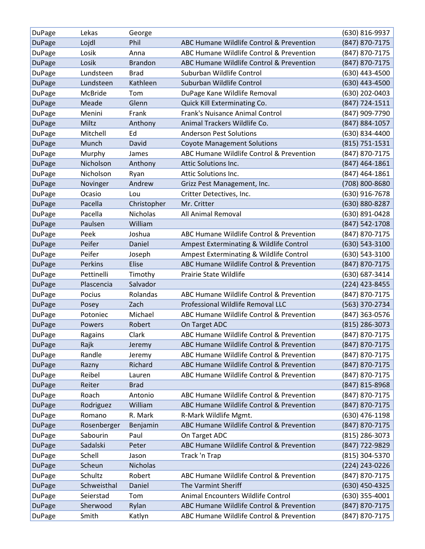| DuPage        | Lekas       | George          |                                          | (630) 816-9937   |
|---------------|-------------|-----------------|------------------------------------------|------------------|
| <b>DuPage</b> | Lojdl       | Phil            | ABC Humane Wildlife Control & Prevention | (847) 870-7175   |
| <b>DuPage</b> | Losik       | Anna            | ABC Humane Wildlife Control & Prevention | (847) 870-7175   |
| <b>DuPage</b> | Losik       | <b>Brandon</b>  | ABC Humane Wildlife Control & Prevention | (847) 870-7175   |
| DuPage        | Lundsteen   | <b>Brad</b>     | Suburban Wildlife Control                | (630) 443-4500   |
| <b>DuPage</b> | Lundsteen   | Kathleen        | Suburban Wildlife Control                | (630) 443-4500   |
| DuPage        | McBride     | Tom             | DuPage Kane Wildlife Removal             | (630) 202-0403   |
| <b>DuPage</b> | Meade       | Glenn           | Quick Kill Exterminating Co.             | (847) 724-1511   |
| DuPage        | Menini      | Frank           | Frank's Nuisance Animal Control          | (847) 909-7790   |
| <b>DuPage</b> | Miltz       | Anthony         | Animal Trackers Wildlife Co.             | (847) 884-1057   |
| <b>DuPage</b> | Mitchell    | Ed              | <b>Anderson Pest Solutions</b>           | (630) 834-4400   |
| <b>DuPage</b> | Munch       | David           | <b>Coyote Management Solutions</b>       | (815) 751-1531   |
| DuPage        | Murphy      | James           | ABC Humane Wildlife Control & Prevention | (847) 870-7175   |
| <b>DuPage</b> | Nicholson   | Anthony         | Attic Solutions Inc.                     | $(847)$ 464-1861 |
| <b>DuPage</b> | Nicholson   | Ryan            | Attic Solutions Inc.                     | (847) 464-1861   |
| <b>DuPage</b> | Novinger    | Andrew          | Grizz Pest Management, Inc.              | (708) 800-8680   |
| DuPage        | Ocasio      | Lou             | Critter Detectives, Inc.                 | (630) 916-7678   |
| <b>DuPage</b> | Pacella     | Christopher     | Mr. Critter                              | (630) 880-8287   |
| <b>DuPage</b> | Pacella     | <b>Nicholas</b> | All Animal Removal                       | (630) 891-0428   |
| <b>DuPage</b> | Paulsen     | William         |                                          | (847) 542-1708   |
| DuPage        | Peek        | Joshua          | ABC Humane Wildlife Control & Prevention | (847) 870-7175   |
| <b>DuPage</b> | Peifer      | Daniel          | Ampest Exterminating & Wildlife Control  | (630) 543-3100   |
| DuPage        | Peifer      | Joseph          | Ampest Exterminating & Wildlife Control  | (630) 543-3100   |
| <b>DuPage</b> | Perkins     | Elise           | ABC Humane Wildlife Control & Prevention | (847) 870-7175   |
| <b>DuPage</b> | Pettinelli  | Timothy         | Prairie State Wildlife                   | (630) 687-3414   |
| <b>DuPage</b> | Plascencia  | Salvador        |                                          | (224) 423-8455   |
| <b>DuPage</b> | Pocius      | Rolandas        | ABC Humane Wildlife Control & Prevention | (847) 870-7175   |
| <b>DuPage</b> | Posey       | Zach            | Professional Wildlife Removal LLC        | (563) 370-2734   |
| DuPage        | Potoniec    | Michael         | ABC Humane Wildlife Control & Prevention | (847) 363-0576   |
| <b>DuPage</b> | Powers      | Robert          | On Target ADC                            | (815) 286-3073   |
| DuPage        | Ragains     | Clark           | ABC Humane Wildlife Control & Prevention | (847) 870-7175   |
| <b>DuPage</b> | Rajk        | Jeremy          | ABC Humane Wildlife Control & Prevention | (847) 870-7175   |
| <b>DuPage</b> | Randle      | Jeremy          | ABC Humane Wildlife Control & Prevention | (847) 870-7175   |
| <b>DuPage</b> | Razny       | Richard         | ABC Humane Wildlife Control & Prevention | (847) 870-7175   |
| <b>DuPage</b> | Reibel      | Lauren          | ABC Humane Wildlife Control & Prevention | (847) 870-7175   |
| <b>DuPage</b> | Reiter      | <b>Brad</b>     |                                          | (847) 815-8968   |
| DuPage        | Roach       | Antonio         | ABC Humane Wildlife Control & Prevention | (847) 870-7175   |
| <b>DuPage</b> | Rodriguez   | William         | ABC Humane Wildlife Control & Prevention | (847) 870-7175   |
| <b>DuPage</b> | Romano      | R. Mark         | R-Mark Wildlife Mgmt.                    | (630) 476-1198   |
| <b>DuPage</b> | Rosenberger | Benjamin        | ABC Humane Wildlife Control & Prevention | (847) 870-7175   |
| <b>DuPage</b> | Sabourin    | Paul            | On Target ADC                            | (815) 286-3073   |
| <b>DuPage</b> | Sadalski    | Peter           | ABC Humane Wildlife Control & Prevention | (847) 722-9829   |
| <b>DuPage</b> | Schell      | Jason           | Track 'n Trap                            | (815) 304-5370   |
| <b>DuPage</b> | Scheun      | <b>Nicholas</b> |                                          | (224) 243-0226   |
| DuPage        | Schultz     | Robert          | ABC Humane Wildlife Control & Prevention | (847) 870-7175   |
| <b>DuPage</b> | Schweisthal | Daniel          | The Varmint Sheriff                      | (630) 450-4325   |
| DuPage        | Seierstad   | Tom             | Animal Encounters Wildlife Control       | (630) 355-4001   |
| <b>DuPage</b> | Sherwood    | Rylan           | ABC Humane Wildlife Control & Prevention | (847) 870-7175   |
| DuPage        | Smith       | Katlyn          | ABC Humane Wildlife Control & Prevention | (847) 870-7175   |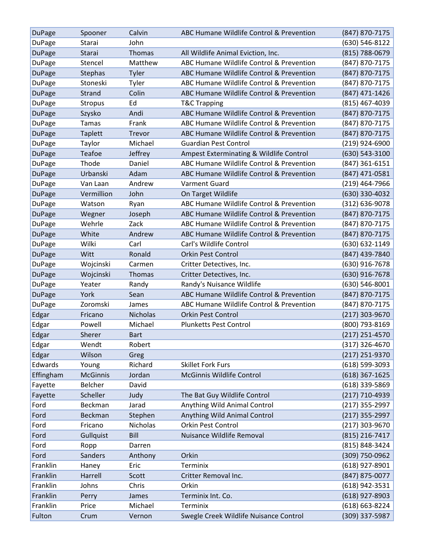| <b>DuPage</b> | Spooner         | Calvin          | ABC Humane Wildlife Control & Prevention | (847) 870-7175     |
|---------------|-----------------|-----------------|------------------------------------------|--------------------|
| <b>DuPage</b> | Starai          | John            |                                          | (630) 546-8122     |
| <b>DuPage</b> | Starai          | Thomas          | All Wildlife Animal Eviction, Inc.       | (815) 788-0679     |
| <b>DuPage</b> | Stencel         | Matthew         | ABC Humane Wildlife Control & Prevention | (847) 870-7175     |
| <b>DuPage</b> | Stephas         | Tyler           | ABC Humane Wildlife Control & Prevention | (847) 870-7175     |
| <b>DuPage</b> | Stoneski        | Tyler           | ABC Humane Wildlife Control & Prevention | (847) 870-7175     |
| <b>DuPage</b> | Strand          | Colin           | ABC Humane Wildlife Control & Prevention | (847) 471-1426     |
| <b>DuPage</b> | Stropus         | Ed              | <b>T&amp;C Trapping</b>                  | (815) 467-4039     |
| <b>DuPage</b> | Szysko          | Andi            | ABC Humane Wildlife Control & Prevention | (847) 870-7175     |
| DuPage        | <b>Tamas</b>    | Frank           | ABC Humane Wildlife Control & Prevention | (847) 870-7175     |
| <b>DuPage</b> | Taplett         | Trevor          | ABC Humane Wildlife Control & Prevention | (847) 870-7175     |
| <b>DuPage</b> | Taylor          | Michael         | <b>Guardian Pest Control</b>             | (219) 924-6900     |
| <b>DuPage</b> | Teafoe          | Jeffrey         | Ampest Exterminating & Wildlife Control  | (630) 543-3100     |
| <b>DuPage</b> | Thode           | Daniel          | ABC Humane Wildlife Control & Prevention | (847) 361-6151     |
| <b>DuPage</b> | Urbanski        | Adam            | ABC Humane Wildlife Control & Prevention | (847) 471-0581     |
| DuPage        | Van Laan        | Andrew          | <b>Varment Guard</b>                     | $(219)$ 464-7966   |
| <b>DuPage</b> | Vermillion      | John            | On Target Wildlife                       | (630) 330-4032     |
| <b>DuPage</b> | Watson          | Ryan            | ABC Humane Wildlife Control & Prevention | (312) 636-9078     |
| <b>DuPage</b> | Wegner          | Joseph          | ABC Humane Wildlife Control & Prevention | (847) 870-7175     |
| <b>DuPage</b> | Wehrle          | Zack            | ABC Humane Wildlife Control & Prevention | (847) 870-7175     |
| <b>DuPage</b> | White           | Andrew          | ABC Humane Wildlife Control & Prevention | (847) 870-7175     |
| <b>DuPage</b> | Wilki           | Carl            | Carl's Wildlife Control                  | (630) 632-1149     |
| <b>DuPage</b> | Witt            | Ronald          | <b>Orkin Pest Control</b>                | (847) 439-7840     |
| <b>DuPage</b> | Wojcinski       | Carmen          | Critter Detectives, Inc.                 | (630) 916-7678     |
| <b>DuPage</b> | Wojcinski       | Thomas          | Critter Detectives, Inc.                 | (630) 916-7678     |
| DuPage        | Yeater          | Randy           | Randy's Nuisance Wildlife                | (630) 546-8001     |
| <b>DuPage</b> | York            | Sean            | ABC Humane Wildlife Control & Prevention | (847) 870-7175     |
| DuPage        | Zoromski        | James           | ABC Humane Wildlife Control & Prevention | (847) 870-7175     |
| Edgar         | Fricano         | <b>Nicholas</b> | <b>Orkin Pest Control</b>                | (217) 303-9670     |
| Edgar         | Powell          | Michael         | <b>Plunketts Pest Control</b>            | (800) 793-8169     |
| Edgar         | Sherer          | <b>Bart</b>     |                                          | (217) 251-4570     |
| Edgar         | Wendt           | Robert          |                                          | (317) 326-4670     |
| Edgar         | Wilson          | Greg            |                                          | $(217)$ 251-9370   |
| Edwards       | Young           | Richard         | <b>Skillet Fork Furs</b>                 | $(618) 599 - 3093$ |
| Effingham     | <b>McGinnis</b> | Jordan          | McGinnis Wildlife Control                | $(618)$ 367-1625   |
| Fayette       | Belcher         | David           |                                          | (618) 339-5869     |
| Fayette       | Scheller        | Judy            | The Bat Guy Wildlife Control             | (217) 710-4939     |
| Ford          | Beckman         | Jarad           | Anything Wild Animal Control             | (217) 355-2997     |
| Ford          | Beckman         | Stephen         | Anything Wild Animal Control             | $(217)$ 355-2997   |
| Ford          | Fricano         | Nicholas        | Orkin Pest Control                       | (217) 303-9670     |
| Ford          | Gullquist       | Bill            | Nuisance Wildlife Removal                | (815) 216-7417     |
| Ford          | Ropp            | Darren          |                                          | (815) 848-3424     |
| Ford          | Sanders         | Anthony         | Orkin                                    | (309) 750-0962     |
| Franklin      | Haney           | Eric            | Terminix                                 | (618) 927-8901     |
| Franklin      | Harrell         | Scott           | Critter Removal Inc.                     | (847) 875-0077     |
| Franklin      | Johns           | Chris           | Orkin                                    | (618) 942-3531     |
| Franklin      | Perry           | James           | Terminix Int. Co.                        | $(618)$ 927-8903   |
| Franklin      | Price           | Michael         | Terminix                                 | (618) 663-8224     |
| Fulton        | Crum            | Vernon          | Swegle Creek Wildlife Nuisance Control   | (309) 337-5987     |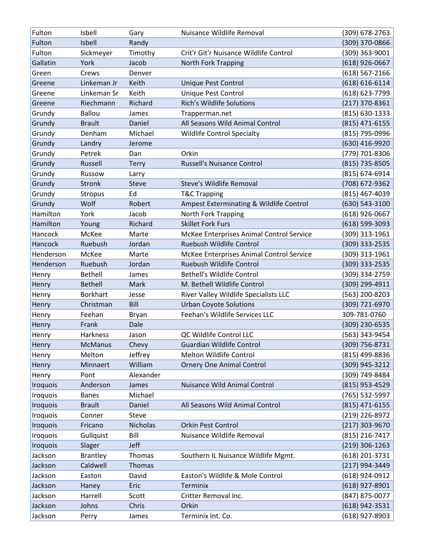| Fulton          | Isbell          | Gary            | Nuisance Wildlife Removal                | (309) 678-2763     |
|-----------------|-----------------|-----------------|------------------------------------------|--------------------|
| Fulton          | Isbell          | Randy           |                                          | (309) 370-0866     |
| Fulton          | Sickmeyer       | Timothy         | Crit'r Git'r Nuisance Wildlife Control   | (309) 363-9001     |
| Gallatin        | York            | Jacob           | <b>North Fork Trapping</b>               | $(618)$ 926-0667   |
| Green           | Crews           | Denver          |                                          | $(618) 567 - 2166$ |
| Greene          | Linkeman Jr     | Keith           | Unique Pest Control                      | $(618) 616 - 6114$ |
| Greene          | Linkeman Sr     | Keith           | Unique Pest Control                      | (618) 623-7799     |
| Greene          | Riechmann       | Richard         | <b>Rich's Wildlife Solutions</b>         | (217) 370-8361     |
| Grundy          | <b>Ballou</b>   | James           | Trapperman.net                           | (815) 630-1333     |
| Grundy          | <b>Brault</b>   | Daniel          | All Seasons Wild Animal Control          | (815) 471-6155     |
| Grundy          | Denham          | Michael         | <b>Wildlife Control Specialty</b>        | (815) 795-0996     |
| Grundy          | Landry          | Jerome          |                                          | (630) 416-9920     |
| Grundy          | Petrek          | Dan             | Orkin                                    | (779) 701-8306     |
| Grundy          | Russell         | Terry           | <b>Russell's Nuisance Control</b>        | (815) 735-8505     |
| Grundy          | Russow          | Larry           |                                          | (815) 674-6914     |
| Grundy          | Stronk          | Steve           | Steve's Wildlife Removal                 | (708) 672-9362     |
| Grundy          | Stropus         | Ed              | <b>T&amp;C Trapping</b>                  | (815) 467-4039     |
| Grundy          | Wolf            | Robert          | Ampest Exterminating & Wildlife Control  | (630) 543-3100     |
| Hamilton        | York            | Jacob           | North Fork Trapping                      | (618) 926-0667     |
| Hamilton        | Young           | Richard         | <b>Skillet Fork Furs</b>                 | $(618) 599 - 3093$ |
| Hancock         | McKee           | Marte           | McKee Enterprises Animal Control Service | (309) 313-1961     |
| Hancock         | Ruebush         | Jordan          | Ruebush Wildlife Control                 | (309) 333-2535     |
| Henderson       | McKee           | Marte           | McKee Enterprises Animal Control Service | (309) 313-1961     |
| Henderson       | Ruebush         | Jordan          | Ruebush Wildlife Control                 | (309) 333-2535     |
| Henry           | <b>Bethell</b>  | James           | <b>Bethell's Wildlife Control</b>        | (309) 334-2759     |
| Henry           | <b>Bethell</b>  | Mark            | M. Bethell Wildlife Control              | (309) 299-4911     |
| Henry           | <b>Borkhart</b> | Jesse           | River Valley Wildlife Specialists LLC    | (563) 200-8203     |
| Henry           | Christman       | Bill            | <b>Urban Coyote Solutions</b>            | (309) 721-6970     |
| Henry           | Feehan          | <b>Bryan</b>    | Feehan's Wildlife Services LLC           | 309-781-0760       |
| Henry           | Frank           | Dale            |                                          | (309) 230-6535     |
| Henry           | Harkness        | Jason           | QC Wildlife Control LLC                  | (563) 343-9454     |
| Henry           | <b>McManus</b>  | Chevy           | Guardian Wildlife Control                | (309) 756-8731     |
| Henry           | Melton          | Jeffrey         | Melton Wildlife Control                  | (815) 499-8836     |
| Henry           | Minnaert        | William         | <b>Ornery One Animal Control</b>         | (309) 945-3212     |
| Henry           | Pont            | Alexander       |                                          | (309) 749-8484     |
| <b>Iroquois</b> | Anderson        | James           | Nuisance Wild Animal Control             | (815) 953-4529     |
| Iroquois        | <b>Banes</b>    | Michael         |                                          | (765) 532-5997     |
| <b>Iroquois</b> | <b>Brault</b>   | Daniel          | All Seasons Wild Animal Control          | (815) 471-6155     |
| Iroquois        | Conner          | Steve           |                                          | (219) 226-8972     |
| <b>Iroquois</b> | Fricano         | <b>Nicholas</b> | Orkin Pest Control                       | (217) 303-9670     |
| Iroquois        | Gullquist       | Bill            | Nuisance Wildlife Removal                | (815) 216-7417     |
| <b>Iroquois</b> | Slager          | Jeff            |                                          | $(219)$ 306-1263   |
| Jackson         | <b>Brantley</b> | Thomas          | Southern IL Nuisance Wildlife Mgmt.      | (618) 201-3731     |
| Jackson         | Caldwell        | Thomas          |                                          | (217) 994-3449     |
| Jackson         | Easton          | David           | Easton's Wildlife & Mole Control         | (618) 924-0912     |
| Jackson         | Haney           | Eric            | <b>Terminix</b>                          | $(618)$ 927-8901   |
| Jackson         | Harrell         | Scott           | Critter Removal Inc.                     | (847) 875-0077     |
| Jackson         | Johns           | Chris           | Orkin                                    | (618) 942-3531     |
| Jackson         | Perry           | James           | Terminix Int. Co.                        | (618) 927-8903     |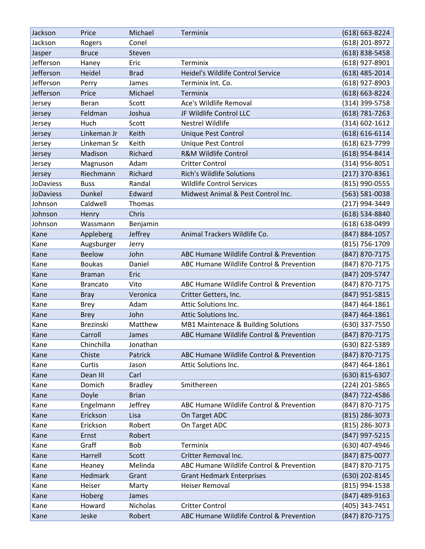| Jackson          | Price           | Michael        | Terminix                                 | $(618) 663 - 8224$ |
|------------------|-----------------|----------------|------------------------------------------|--------------------|
| Jackson          | Rogers          | Conel          |                                          | (618) 201-8972     |
| Jasper           | <b>Bruce</b>    | Steven         |                                          | $(618)$ 838-5458   |
| Jefferson        | Haney           | Eric           | Terminix                                 | (618) 927-8901     |
| Jefferson        | Heidel          | <b>Brad</b>    | Heidel's Wildlife Control Service        | $(618)$ 485-2014   |
| Jefferson        | Perry           | James          | Terminix Int. Co.                        | (618) 927-8903     |
| Jefferson        | Price           | Michael        | Terminix                                 | (618) 663-8224     |
| Jersey           | Beran           | Scott          | Ace's Wildlife Removal                   | (314) 399-5758     |
| Jersey           | Feldman         | Joshua         | JF Wildlife Control LLC                  | $(618) 781 - 7263$ |
| Jersey           | Huch            | Scott          | <b>Nestrel Wildlife</b>                  | $(314) 602 - 1612$ |
| Jersey           | Linkeman Jr     | Keith          | Unique Pest Control                      | $(618) 616 - 6114$ |
| Jersey           | Linkeman Sr     | Keith          | Unique Pest Control                      | (618) 623-7799     |
| Jersey           | Madison         | Richard        | <b>R&amp;M Wildlife Control</b>          | (618) 954-8414     |
| Jersey           | Magnuson        | Adam           | <b>Critter Control</b>                   | $(314)$ 956-8051   |
| Jersey           | Riechmann       | Richard        | <b>Rich's Wildlife Solutions</b>         | $(217)$ 370-8361   |
| <b>JoDaviess</b> | <b>Buss</b>     | Randal         | <b>Wildlife Control Services</b>         | (815) 990-0555     |
| JoDaviess        | <b>Dunkel</b>   | Edward         | Midwest Animal & Pest Control Inc.       | (563) 581-0038     |
| Johnson          | Caldwell        | Thomas         |                                          | (217) 994-3449     |
| Johnson          | Henry           | Chris          |                                          | (618) 534-8840     |
| Johnson          | Wassmann        | Benjamin       |                                          | (618) 638-0499     |
| Kane             | Appleberg       | Jeffrey        | Animal Trackers Wildlife Co.             | (847) 884-1057     |
| Kane             | Augsburger      | Jerry          |                                          | (815) 756-1709     |
| Kane             | <b>Beelow</b>   | John           | ABC Humane Wildlife Control & Prevention | (847) 870-7175     |
| Kane             | <b>Boukas</b>   | Daniel         | ABC Humane Wildlife Control & Prevention | (847) 870-7175     |
| Kane             | <b>Braman</b>   | Eric           |                                          | (847) 209-5747     |
| Kane             | <b>Brancato</b> | Vito           | ABC Humane Wildlife Control & Prevention | (847) 870-7175     |
| Kane             | <b>Bray</b>     | Veronica       | Critter Getters, Inc.                    | (847) 951-5815     |
| Kane             | <b>Brey</b>     | Adam           | Attic Solutions Inc.                     | (847) 464-1861     |
| Kane             | <b>Brey</b>     | John           | Attic Solutions Inc.                     | $(847)$ 464-1861   |
| Kane             | Brezinski       | Matthew        | MB1 Maintenace & Building Solutions      | (630) 337-7550     |
| Kane             | Carroll         | James          | ABC Humane Wildlife Control & Prevention | (847) 870-7175     |
| Kane             | Chinchilla      | Jonathan       |                                          | (630) 822-5389     |
| Kane             | Chiste          | Patrick        | ABC Humane Wildlife Control & Prevention | (847) 870-7175     |
| Kane             | Curtis          | Jason          | Attic Solutions Inc.                     | $(847)$ 464-1861   |
| Kane             | Dean III        | Carl           |                                          | (630) 815-6307     |
| Kane             | Domich          | <b>Bradley</b> | Smithereen                               | (224) 201-5865     |
| Kane             | Doyle           | <b>Brian</b>   |                                          | (847) 722-4586     |
| Kane             | Engelmann       | Jeffrey        | ABC Humane Wildlife Control & Prevention | (847) 870-7175     |
| Kane             | Erickson        | Lisa           | On Target ADC                            | $(815)$ 286-3073   |
| Kane             | Erickson        | Robert         | On Target ADC                            | (815) 286-3073     |
| Kane             | Ernst           | Robert         |                                          | (847) 997-5215     |
| Kane             | Graff           | Bob            | Terminix                                 | (630) 407-4946     |
| Kane             | Harrell         | Scott          | Critter Removal Inc.                     | (847) 875-0077     |
| Kane             | Heaney          | Melinda        | ABC Humane Wildlife Control & Prevention | (847) 870-7175     |
| Kane             | Hedmark         | Grant          | <b>Grant Hedmark Enterprises</b>         | (630) 202-8145     |
| Kane             | Heiser          | Marty          | Heiser Removal                           | (815) 994-1538     |
| Kane             | Hoberg          | James          |                                          | (847) 489-9163     |
| Kane             | Howard          | Nicholas       | <b>Critter Control</b>                   | (405) 343-7451     |
| Kane             | Jeske           | Robert         | ABC Humane Wildlife Control & Prevention | (847) 870-7175     |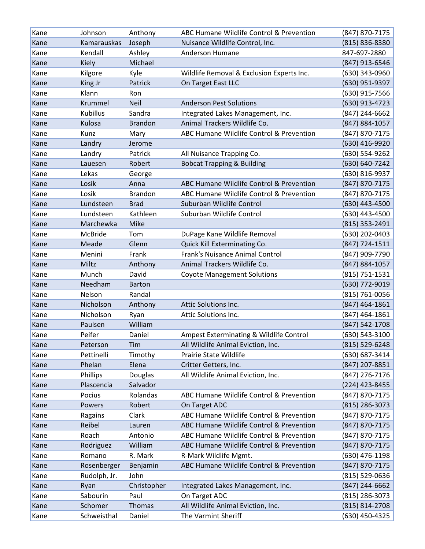| Kane | Johnson         | Anthony        | ABC Humane Wildlife Control & Prevention  | (847) 870-7175   |
|------|-----------------|----------------|-------------------------------------------|------------------|
| Kane | Kamarauskas     | Joseph         | Nuisance Wildlife Control, Inc.           | (815) 836-8380   |
| Kane | Kendall         | Ashley         | Anderson Humane                           | 847-697-2880     |
| Kane | <b>Kiely</b>    | Michael        |                                           | (847) 913-6546   |
| Kane | Kilgore         | Kyle           | Wildlife Removal & Exclusion Experts Inc. | (630) 343-0960   |
| Kane | King Jr         | Patrick        | On Target East LLC                        | (630) 951-9397   |
| Kane | Klann           | Ron            |                                           | (630) 915-7566   |
| Kane | Krummel         | <b>Neil</b>    | <b>Anderson Pest Solutions</b>            | (630) 913-4723   |
| Kane | <b>Kubillus</b> | Sandra         | Integrated Lakes Management, Inc.         | (847) 244-6662   |
| Kane | Kulosa          | <b>Brandon</b> | Animal Trackers Wildlife Co.              | (847) 884-1057   |
| Kane | Kunz            | Mary           | ABC Humane Wildlife Control & Prevention  | (847) 870-7175   |
| Kane | Landry          | Jerome         |                                           | (630) 416-9920   |
| Kane | Landry          | Patrick        | All Nuisance Trapping Co.                 | (630) 554-9262   |
| Kane | Lauesen         | Robert         | <b>Bobcat Trapping &amp; Building</b>     | (630) 640-7242   |
| Kane | Lekas           | George         |                                           | (630) 816-9937   |
| Kane | Losik           | Anna           | ABC Humane Wildlife Control & Prevention  | (847) 870-7175   |
| Kane | Losik           | <b>Brandon</b> | ABC Humane Wildlife Control & Prevention  | (847) 870-7175   |
| Kane | Lundsteen       | <b>Brad</b>    | Suburban Wildlife Control                 | (630) 443-4500   |
| Kane | Lundsteen       | Kathleen       | Suburban Wildlife Control                 | (630) 443-4500   |
| Kane | Marchewka       | Mike           |                                           | (815) 353-2491   |
| Kane | <b>McBride</b>  | Tom            | DuPage Kane Wildlife Removal              | (630) 202-0403   |
| Kane | Meade           | Glenn          | Quick Kill Exterminating Co.              | (847) 724-1511   |
| Kane | Menini          | Frank          | Frank's Nuisance Animal Control           | (847) 909-7790   |
| Kane | Miltz           | Anthony        | Animal Trackers Wildlife Co.              | (847) 884-1057   |
| Kane | Munch           | David          | <b>Coyote Management Solutions</b>        | (815) 751-1531   |
| Kane | Needham         | <b>Barton</b>  |                                           | (630) 772-9019   |
| Kane | Nelson          | Randal         |                                           | (815) 761-0056   |
| Kane | Nicholson       | Anthony        | Attic Solutions Inc.                      | $(847)$ 464-1861 |
| Kane | Nicholson       | Ryan           | Attic Solutions Inc.                      | (847) 464-1861   |
| Kane | Paulsen         | William        |                                           | (847) 542-1708   |
| Kane | Peifer          | Daniel         | Ampest Exterminating & Wildlife Control   | (630) 543-3100   |
| Kane | Peterson        | Tim            | All Wildlife Animal Eviction, Inc.        | (815) 529-6248   |
| Kane | Pettinelli      | Timothy        | Prairie State Wildlife                    | (630) 687-3414   |
| Kane | Phelan          | Elena          | Critter Getters, Inc.                     | (847) 207-8851   |
| Kane | Phillips        | Douglas        | All Wildlife Animal Eviction, Inc.        | (847) 276-7176   |
| Kane | Plascencia      | Salvador       |                                           | (224) 423-8455   |
| Kane | Pocius          | Rolandas       | ABC Humane Wildlife Control & Prevention  | (847) 870-7175   |
| Kane | Powers          | Robert         | On Target ADC                             | $(815)$ 286-3073 |
| Kane | Ragains         | Clark          | ABC Humane Wildlife Control & Prevention  | (847) 870-7175   |
| Kane | Reibel          | Lauren         | ABC Humane Wildlife Control & Prevention  | (847) 870-7175   |
| Kane | Roach           | Antonio        | ABC Humane Wildlife Control & Prevention  | (847) 870-7175   |
| Kane | Rodriguez       | William        | ABC Humane Wildlife Control & Prevention  | (847) 870-7175   |
| Kane | Romano          | R. Mark        | R-Mark Wildlife Mgmt.                     | (630) 476-1198   |
| Kane | Rosenberger     | Benjamin       | ABC Humane Wildlife Control & Prevention  | (847) 870-7175   |
| Kane | Rudolph, Jr.    | John           |                                           | (815) 529-0636   |
| Kane | Ryan            | Christopher    | Integrated Lakes Management, Inc.         | (847) 244-6662   |
| Kane | Sabourin        | Paul           | On Target ADC                             | (815) 286-3073   |
| Kane | Schomer         | Thomas         | All Wildlife Animal Eviction, Inc.        | (815) 814-2708   |
| Kane | Schweisthal     | Daniel         | The Varmint Sheriff                       | (630) 450-4325   |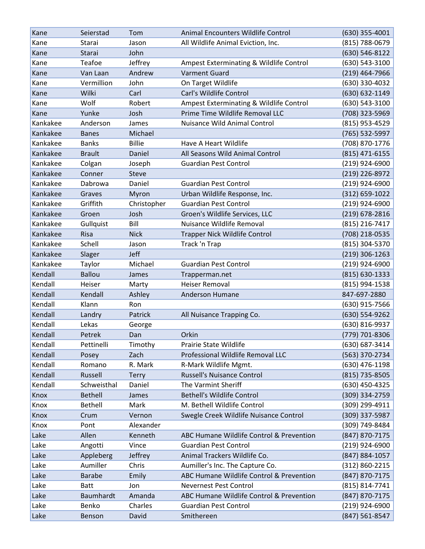| Kane     | Seierstad      | Tom            | Animal Encounters Wildlife Control       | $(630)$ 355-4001   |
|----------|----------------|----------------|------------------------------------------|--------------------|
| Kane     | Starai         | Jason          | All Wildlife Animal Eviction, Inc.       | (815) 788-0679     |
| Kane     | Starai         | John           |                                          | (630) 546-8122     |
| Kane     | Teafoe         | Jeffrey        | Ampest Exterminating & Wildlife Control  | (630) 543-3100     |
| Kane     | Van Laan       | Andrew         | <b>Varment Guard</b>                     | (219) 464-7966     |
| Kane     | Vermillion     | John           | On Target Wildlife                       | (630) 330-4032     |
| Kane     | Wilki          | Carl           | Carl's Wildlife Control                  | (630) 632-1149     |
| Kane     | Wolf           | Robert         | Ampest Exterminating & Wildlife Control  | (630) 543-3100     |
| Kane     | Yunke          | Josh           | Prime Time Wildlife Removal LLC          | (708) 323-5969     |
| Kankakee | Anderson       | James          | Nuisance Wild Animal Control             | (815) 953-4529     |
| Kankakee | <b>Banes</b>   | Michael        |                                          | (765) 532-5997     |
| Kankakee | <b>Banks</b>   | <b>Billie</b>  | Have A Heart Wildlife                    | (708) 870-1776     |
| Kankakee | <b>Brault</b>  | Daniel         | All Seasons Wild Animal Control          | $(815)$ 471-6155   |
| Kankakee | Colgan         | Joseph         | <b>Guardian Pest Control</b>             | (219) 924-6900     |
| Kankakee | Conner         | <b>Steve</b>   |                                          | (219) 226-8972     |
| Kankakee | Dabrowa        | Daniel         | <b>Guardian Pest Control</b>             | (219) 924-6900     |
| Kankakee | Graves         | Myron          | Urban Wildlife Response, Inc.            | $(312) 659 - 1022$ |
| Kankakee | Griffith       | Christopher    | <b>Guardian Pest Control</b>             | (219) 924-6900     |
| Kankakee | Groen          | Josh           | Groen's Wildlife Services, LLC           | (219) 678-2816     |
| Kankakee | Gullquist      | Bill           | Nuisance Wildlife Removal                | (815) 216-7417     |
| Kankakee | Risa           | <b>Nick</b>    | <b>Trapper Nick Wildlife Control</b>     | (708) 218-0535     |
| Kankakee | Schell         | Jason          | Track 'n Trap                            | (815) 304-5370     |
| Kankakee | Slager         | Jeff           |                                          | $(219)$ 306-1263   |
| Kankakee | Taylor         | Michael        | <b>Guardian Pest Control</b>             | (219) 924-6900     |
| Kendall  | <b>Ballou</b>  | James          | Trapperman.net                           | $(815) 630 - 1333$ |
| Kendall  | Heiser         | Marty          | <b>Heiser Removal</b>                    | (815) 994-1538     |
| Kendall  | Kendall        | Ashley         | Anderson Humane                          | 847-697-2880       |
| Kendall  | Klann          | Ron            |                                          | (630) 915-7566     |
| Kendall  | Landry         | Patrick        | All Nuisance Trapping Co.                | (630) 554-9262     |
| Kendall  | Lekas          | George         |                                          | (630) 816-9937     |
| Kendall  | Petrek         | Dan            | Orkin                                    | (779) 701-8306     |
| Kendall  | Pettinelli     | Timothy        | Prairie State Wildlife                   | (630) 687-3414     |
| Kendall  | Posey          | Zach           | Professional Wildlife Removal LLC        | (563) 370-2734     |
| Kendall  | Romano         | R. Mark        | R-Mark Wildlife Mgmt.                    | (630) 476-1198     |
| Kendall  | Russell        | <b>Terry</b>   | <b>Russell's Nuisance Control</b>        | (815) 735-8505     |
| Kendall  | Schweisthal    | Daniel         | The Varmint Sheriff                      | (630) 450-4325     |
| Knox     | <b>Bethell</b> | James          | <b>Bethell's Wildlife Control</b>        | (309) 334-2759     |
| Knox     | <b>Bethell</b> | Mark           | M. Bethell Wildlife Control              | (309) 299-4911     |
| Knox     | Crum           | Vernon         | Swegle Creek Wildlife Nuisance Control   | (309) 337-5987     |
| Knox     | Pont           | Alexander      |                                          | (309) 749-8484     |
| Lake     | Allen          | Kenneth        | ABC Humane Wildlife Control & Prevention | (847) 870-7175     |
| Lake     | Angotti        | Vince          | <b>Guardian Pest Control</b>             | (219) 924-6900     |
| Lake     | Appleberg      | <b>Jeffrey</b> | Animal Trackers Wildlife Co.             | (847) 884-1057     |
| Lake     | Aumiller       | Chris          | Aumiller's Inc. The Capture Co.          | (312) 860-2215     |
| Lake     | <b>Barabe</b>  | Emily          | ABC Humane Wildlife Control & Prevention | (847) 870-7175     |
| Lake     | <b>Batt</b>    | Jon            | <b>Nevernest Pest Control</b>            | (815) 814-7741     |
| Lake     | Baumhardt      | Amanda         | ABC Humane Wildlife Control & Prevention | (847) 870-7175     |
| Lake     | Benko          | Charles        | <b>Guardian Pest Control</b>             | (219) 924-6900     |
| Lake     | Benson         | David          | Smithereen                               | (847) 561-8547     |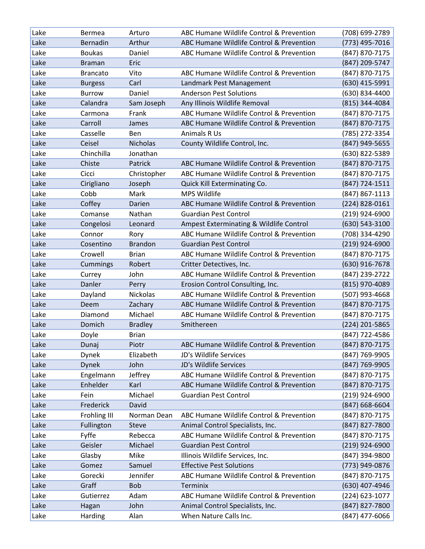| Lake | <b>Bermea</b>       | Arturo          | ABC Humane Wildlife Control & Prevention | (708) 699-2789   |
|------|---------------------|-----------------|------------------------------------------|------------------|
| Lake | Bernadin            | Arthur          | ABC Humane Wildlife Control & Prevention | (773) 495-7016   |
| Lake | <b>Boukas</b>       | Daniel          | ABC Humane Wildlife Control & Prevention | (847) 870-7175   |
| Lake | <b>Braman</b>       | Eric            |                                          | (847) 209-5747   |
| Lake | <b>Brancato</b>     | Vito            | ABC Humane Wildlife Control & Prevention | (847) 870-7175   |
| Lake | <b>Burgess</b>      | Carl            | Landmark Pest Management                 | (630) 415-5991   |
| Lake | <b>Burrow</b>       | Daniel          | <b>Anderson Pest Solutions</b>           | (630) 834-4400   |
| Lake | Calandra            | Sam Joseph      | Any Illinois Wildlife Removal            | (815) 344-4084   |
| Lake | Carmona             | Frank           | ABC Humane Wildlife Control & Prevention | (847) 870-7175   |
| Lake | Carroll             | James           | ABC Humane Wildlife Control & Prevention | (847) 870-7175   |
| Lake | Casselle            | Ben             | Animals R Us                             | (785) 272-3354   |
| Lake | Ceisel              | <b>Nicholas</b> | County Wildlife Control, Inc.            | (847) 949-5655   |
| Lake | Chinchilla          | Jonathan        |                                          | (630) 822-5389   |
| Lake | Chiste              | Patrick         | ABC Humane Wildlife Control & Prevention | (847) 870-7175   |
| Lake | Cicci               | Christopher     | ABC Humane Wildlife Control & Prevention | (847) 870-7175   |
| Lake | Cirigliano          | Joseph          | Quick Kill Exterminating Co.             | (847) 724-1511   |
| Lake | Cobb                | Mark            | <b>MPS Wildlife</b>                      | (847) 867-1113   |
| Lake | Coffey              | Darien          | ABC Humane Wildlife Control & Prevention | (224) 828-0161   |
| Lake | Comanse             | Nathan          | <b>Guardian Pest Control</b>             | (219) 924-6900   |
| Lake | Congelosi           | Leonard         | Ampest Exterminating & Wildlife Control  | (630) 543-3100   |
| Lake | Connor              | Rory            | ABC Humane Wildlife Control & Prevention | (708) 334-4290   |
| Lake | Cosentino           | <b>Brandon</b>  | <b>Guardian Pest Control</b>             | (219) 924-6900   |
| Lake | Crowell             | <b>Brian</b>    | ABC Humane Wildlife Control & Prevention | (847) 870-7175   |
| Lake | Cummings            | Robert          | Critter Detectives, Inc.                 | (630) 916-7678   |
| Lake | Currey              | John            | ABC Humane Wildlife Control & Prevention | (847) 239-2722   |
| Lake | Danler              | Perry           | Erosion Control Consulting, Inc.         | (815) 970-4089   |
| Lake | Dayland             | Nickolas        | ABC Humane Wildlife Control & Prevention | (507) 993-4668   |
| Lake | Deem                | Zachary         | ABC Humane Wildlife Control & Prevention | (847) 870-7175   |
| Lake | Diamond             | Michael         | ABC Humane Wildlife Control & Prevention | (847) 870-7175   |
| Lake | Domich              | <b>Bradley</b>  | Smithereen                               | (224) 201-5865   |
| Lake | Doyle               | <b>Brian</b>    |                                          | (847) 722-4586   |
| Lake | Dunaj               | Piotr           | ABC Humane Wildlife Control & Prevention | (847) 870-7175   |
| Lake | Dynek               | Elizabeth       | JD's Wildlife Services                   | (847) 769-9905   |
| Lake | <b>Dynek</b>        | John            | JD's Wildlife Services                   | (847) 769-9905   |
| Lake | Engelmann           | Jeffrey         | ABC Humane Wildlife Control & Prevention | (847) 870-7175   |
| Lake | Enhelder            | Karl            | ABC Humane Wildlife Control & Prevention | (847) 870-7175   |
| Lake | Fein                | Michael         | <b>Guardian Pest Control</b>             | (219) 924-6900   |
| Lake | Frederick           | David           |                                          | (847) 668-6604   |
| Lake | <b>Frohling III</b> | Norman Dean     | ABC Humane Wildlife Control & Prevention | (847) 870-7175   |
| Lake | Fullington          | <b>Steve</b>    | Animal Control Specialists, Inc.         | (847) 827-7800   |
| Lake | Fyffe               | Rebecca         | ABC Humane Wildlife Control & Prevention | (847) 870-7175   |
| Lake | Geisler             | Michael         | <b>Guardian Pest Control</b>             | $(219)$ 924-6900 |
| Lake | Glasby              | Mike            | Illinois Wildlife Services, Inc.         | (847) 394-9800   |
| Lake | Gomez               | Samuel          | <b>Effective Pest Solutions</b>          | (773) 949-0876   |
| Lake | Gorecki             | Jennifer        | ABC Humane Wildlife Control & Prevention | (847) 870-7175   |
| Lake | Graff               | <b>Bob</b>      | <b>Terminix</b>                          | (630) 407-4946   |
| Lake | Gutierrez           | Adam            | ABC Humane Wildlife Control & Prevention | (224) 623-1077   |
| Lake | Hagan               | John            | Animal Control Specialists, Inc.         | (847) 827-7800   |
| Lake | Harding             | Alan            | When Nature Calls Inc.                   | (847) 477-6066   |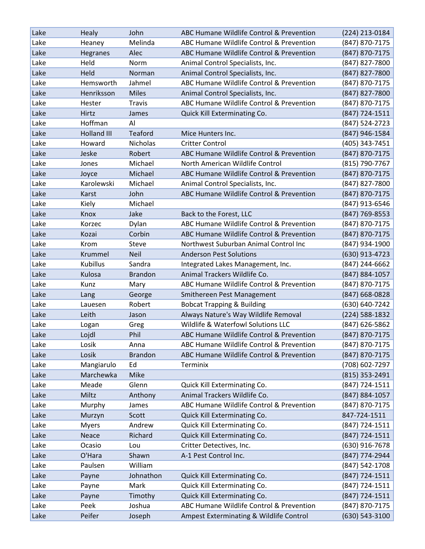| Lake | <b>Healy</b>       | John            | ABC Humane Wildlife Control & Prevention | (224) 213-0184 |
|------|--------------------|-----------------|------------------------------------------|----------------|
| Lake | Heaney             | Melinda         | ABC Humane Wildlife Control & Prevention | (847) 870-7175 |
| Lake | Hegranes           | Alec            | ABC Humane Wildlife Control & Prevention | (847) 870-7175 |
| Lake | Held               | Norm            | Animal Control Specialists, Inc.         | (847) 827-7800 |
| Lake | Held               | Norman          | Animal Control Specialists, Inc.         | (847) 827-7800 |
| Lake | Hemsworth          | Jahmel          | ABC Humane Wildlife Control & Prevention | (847) 870-7175 |
| Lake | Henriksson         | <b>Miles</b>    | Animal Control Specialists, Inc.         | (847) 827-7800 |
| Lake | Hester             | Travis          | ABC Humane Wildlife Control & Prevention | (847) 870-7175 |
| Lake | Hirtz              | James           | Quick Kill Exterminating Co.             | (847) 724-1511 |
| Lake | Hoffman            | Al              |                                          | (847) 524-2723 |
| Lake | <b>Holland III</b> | Teaford         | Mice Hunters Inc.                        | (847) 946-1584 |
| Lake | Howard             | <b>Nicholas</b> | <b>Critter Control</b>                   | (405) 343-7451 |
| Lake | Jeske              | Robert          | ABC Humane Wildlife Control & Prevention | (847) 870-7175 |
| Lake | Jones              | Michael         | North American Wildlife Control          | (815) 790-7767 |
| Lake | Joyce              | Michael         | ABC Humane Wildlife Control & Prevention | (847) 870-7175 |
| Lake | Karolewski         | Michael         | Animal Control Specialists, Inc.         | (847) 827-7800 |
| Lake | Karst              | John            | ABC Humane Wildlife Control & Prevention | (847) 870-7175 |
| Lake | Kiely              | Michael         |                                          | (847) 913-6546 |
| Lake | Knox               | Jake            | Back to the Forest, LLC                  | (847) 769-8553 |
| Lake | Korzec             | Dylan           | ABC Humane Wildlife Control & Prevention | (847) 870-7175 |
| Lake | Kozai              | Corbin          | ABC Humane Wildlife Control & Prevention | (847) 870-7175 |
| Lake | Krom               | Steve           | Northwest Suburban Animal Control Inc    | (847) 934-1900 |
| Lake | Krummel            | <b>Neil</b>     | <b>Anderson Pest Solutions</b>           | (630) 913-4723 |
| Lake | <b>Kubillus</b>    | Sandra          | Integrated Lakes Management, Inc.        | (847) 244-6662 |
| Lake | Kulosa             | <b>Brandon</b>  | Animal Trackers Wildlife Co.             | (847) 884-1057 |
| Lake | Kunz               | Mary            | ABC Humane Wildlife Control & Prevention | (847) 870-7175 |
| Lake | Lang               | George          | Smithereen Pest Management               | (847) 668-0828 |
| Lake | Lauesen            | Robert          | <b>Bobcat Trapping &amp; Building</b>    | (630) 640-7242 |
| Lake | Leith              | Jason           | Always Nature's Way Wildlife Removal     | (224) 588-1832 |
| Lake | Logan              | Greg            | Wildlife & Waterfowl Solutions LLC       | (847) 626-5862 |
| Lake | Lojdl              | Phil            | ABC Humane Wildlife Control & Prevention | (847) 870-7175 |
| Lake | Losik              | Anna            | ABC Humane Wildlife Control & Prevention | (847) 870-7175 |
| Lake | Losik              | <b>Brandon</b>  | ABC Humane Wildlife Control & Prevention | (847) 870-7175 |
| Lake | Mangiarulo         | Ed              | Terminix                                 | (708) 602-7297 |
| Lake | Marchewka          | Mike            |                                          | (815) 353-2491 |
| Lake | Meade              | Glenn           | Quick Kill Exterminating Co.             | (847) 724-1511 |
| Lake | Miltz              | Anthony         | Animal Trackers Wildlife Co.             | (847) 884-1057 |
| Lake | Murphy             | James           | ABC Humane Wildlife Control & Prevention | (847) 870-7175 |
| Lake | Murzyn             | Scott           | Quick Kill Exterminating Co.             | 847-724-1511   |
| Lake | <b>Myers</b>       | Andrew          | Quick Kill Exterminating Co.             | (847) 724-1511 |
| Lake | Neace              | Richard         | Quick Kill Exterminating Co.             | (847) 724-1511 |
| Lake | Ocasio             | Lou             | Critter Detectives, Inc.                 | (630) 916-7678 |
| Lake | O'Hara             | Shawn           | A-1 Pest Control Inc.                    | (847) 774-2944 |
| Lake | Paulsen            | William         |                                          | (847) 542-1708 |
| Lake | Payne              | Johnathon       | Quick Kill Exterminating Co.             | (847) 724-1511 |
| Lake | Payne              | Mark            | Quick Kill Exterminating Co.             | (847) 724-1511 |
| Lake | Payne              | Timothy         | Quick Kill Exterminating Co.             | (847) 724-1511 |
| Lake | Peek               | Joshua          | ABC Humane Wildlife Control & Prevention | (847) 870-7175 |
| Lake | Peifer             | Joseph          | Ampest Exterminating & Wildlife Control  | (630) 543-3100 |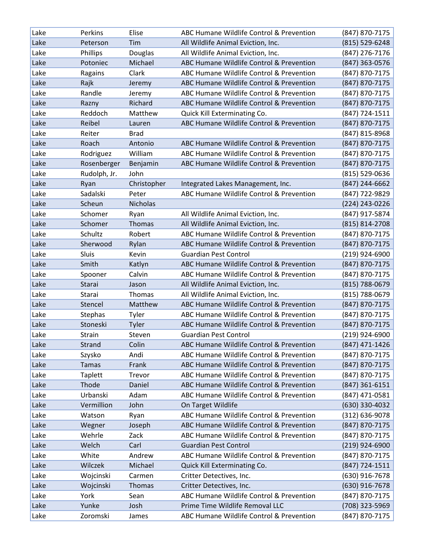| Lake | Perkins        | Elise       | ABC Humane Wildlife Control & Prevention | (847) 870-7175     |
|------|----------------|-------------|------------------------------------------|--------------------|
| Lake | Peterson       | Tim         | All Wildlife Animal Eviction, Inc.       | (815) 529-6248     |
| Lake | Phillips       | Douglas     | All Wildlife Animal Eviction, Inc.       | (847) 276-7176     |
| Lake | Potoniec       | Michael     | ABC Humane Wildlife Control & Prevention | (847) 363-0576     |
| Lake | Ragains        | Clark       | ABC Humane Wildlife Control & Prevention | (847) 870-7175     |
| Lake | Rajk           | Jeremy      | ABC Humane Wildlife Control & Prevention | (847) 870-7175     |
| Lake | Randle         | Jeremy      | ABC Humane Wildlife Control & Prevention | (847) 870-7175     |
| Lake | Razny          | Richard     | ABC Humane Wildlife Control & Prevention | (847) 870-7175     |
| Lake | Reddoch        | Matthew     | Quick Kill Exterminating Co.             | (847) 724-1511     |
| Lake | Reibel         | Lauren      | ABC Humane Wildlife Control & Prevention | (847) 870-7175     |
| Lake | Reiter         | <b>Brad</b> |                                          | (847) 815-8968     |
| Lake | Roach          | Antonio     | ABC Humane Wildlife Control & Prevention | (847) 870-7175     |
| Lake | Rodriguez      | William     | ABC Humane Wildlife Control & Prevention | (847) 870-7175     |
| Lake | Rosenberger    | Benjamin    | ABC Humane Wildlife Control & Prevention | (847) 870-7175     |
| Lake | Rudolph, Jr.   | John        |                                          | (815) 529-0636     |
| Lake | Ryan           | Christopher | Integrated Lakes Management, Inc.        | (847) 244-6662     |
| Lake | Sadalski       | Peter       | ABC Humane Wildlife Control & Prevention | (847) 722-9829     |
| Lake | Scheun         | Nicholas    |                                          | (224) 243-0226     |
| Lake | Schomer        | Ryan        | All Wildlife Animal Eviction, Inc.       | (847) 917-5874     |
| Lake | Schomer        | Thomas      | All Wildlife Animal Eviction, Inc.       | $(815) 814 - 2708$ |
| Lake | Schultz        | Robert      | ABC Humane Wildlife Control & Prevention | (847) 870-7175     |
| Lake | Sherwood       | Rylan       | ABC Humane Wildlife Control & Prevention | (847) 870-7175     |
| Lake | Sluis          | Kevin       | <b>Guardian Pest Control</b>             | (219) 924-6900     |
| Lake | Smith          | Katlyn      | ABC Humane Wildlife Control & Prevention | (847) 870-7175     |
| Lake | Spooner        | Calvin      | ABC Humane Wildlife Control & Prevention | (847) 870-7175     |
| Lake | Starai         | Jason       | All Wildlife Animal Eviction, Inc.       | (815) 788-0679     |
| Lake | Starai         | Thomas      | All Wildlife Animal Eviction, Inc.       | (815) 788-0679     |
| Lake | Stencel        | Matthew     | ABC Humane Wildlife Control & Prevention | (847) 870-7175     |
| Lake | Stephas        | Tyler       | ABC Humane Wildlife Control & Prevention | (847) 870-7175     |
| Lake | Stoneski       | Tyler       | ABC Humane Wildlife Control & Prevention | (847) 870-7175     |
| Lake | Strain         | Steven      | <b>Guardian Pest Control</b>             | (219) 924-6900     |
| Lake | Strand         | Colin       | ABC Humane Wildlife Control & Prevention | (847) 471-1426     |
| Lake | Szysko         | Andi        | ABC Humane Wildlife Control & Prevention | (847) 870-7175     |
| Lake | <b>Tamas</b>   | Frank       | ABC Humane Wildlife Control & Prevention | (847) 870-7175     |
| Lake | <b>Taplett</b> | Trevor      | ABC Humane Wildlife Control & Prevention | (847) 870-7175     |
| Lake | Thode          | Daniel      | ABC Humane Wildlife Control & Prevention | $(847)$ 361-6151   |
| Lake | Urbanski       | Adam        | ABC Humane Wildlife Control & Prevention | (847) 471-0581     |
| Lake | Vermillion     | John        | On Target Wildlife                       | (630) 330-4032     |
| Lake | Watson         | Ryan        | ABC Humane Wildlife Control & Prevention | (312) 636-9078     |
| Lake | Wegner         | Joseph      | ABC Humane Wildlife Control & Prevention | (847) 870-7175     |
| Lake | Wehrle         | Zack        | ABC Humane Wildlife Control & Prevention | (847) 870-7175     |
| Lake | Welch          | Carl        | <b>Guardian Pest Control</b>             | $(219)$ 924-6900   |
| Lake | White          | Andrew      | ABC Humane Wildlife Control & Prevention | (847) 870-7175     |
| Lake | Wilczek        | Michael     | Quick Kill Exterminating Co.             | (847) 724-1511     |
| Lake | Wojcinski      | Carmen      | Critter Detectives, Inc.                 | (630) 916-7678     |
| Lake | Wojcinski      | Thomas      | Critter Detectives, Inc.                 | (630) 916-7678     |
| Lake | York           | Sean        | ABC Humane Wildlife Control & Prevention | (847) 870-7175     |
| Lake | Yunke          | Josh        | Prime Time Wildlife Removal LLC          | (708) 323-5969     |
| Lake | Zoromski       | James       | ABC Humane Wildlife Control & Prevention | (847) 870-7175     |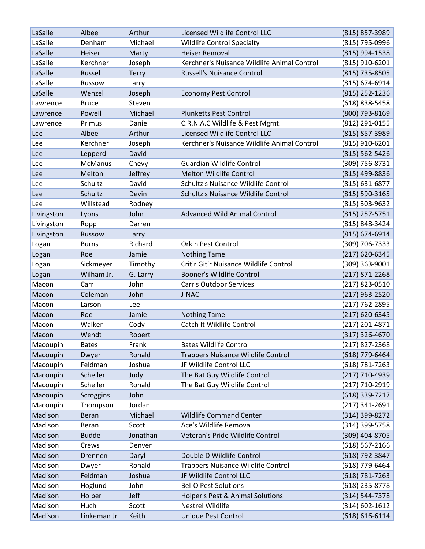| LaSalle    | Albee          | Arthur       | Licensed Wildlife Control LLC               | (815) 857-3989     |
|------------|----------------|--------------|---------------------------------------------|--------------------|
| LaSalle    | Denham         | Michael      | <b>Wildlife Control Specialty</b>           | (815) 795-0996     |
| LaSalle    | Heiser         | Marty        | <b>Heiser Removal</b>                       | (815) 994-1538     |
| LaSalle    | Kerchner       | Joseph       | Kerchner's Nuisance Wildlife Animal Control | (815) 910-6201     |
| LaSalle    | Russell        | <b>Terry</b> | <b>Russell's Nuisance Control</b>           | (815) 735-8505     |
| LaSalle    | Russow         | Larry        |                                             | (815) 674-6914     |
| LaSalle    | Wenzel         | Joseph       | <b>Economy Pest Control</b>                 | (815) 252-1236     |
| Lawrence   | <b>Bruce</b>   | Steven       |                                             | (618) 838-5458     |
| Lawrence   | Powell         | Michael      | <b>Plunketts Pest Control</b>               | (800) 793-8169     |
| Lawrence   | Primus         | Daniel       | C.R.N.A.C Wildlife & Pest Mgmt.             | (812) 291-0155     |
| Lee        | Albee          | Arthur       | Licensed Wildlife Control LLC               | (815) 857-3989     |
| Lee        | Kerchner       | Joseph       | Kerchner's Nuisance Wildlife Animal Control | (815) 910-6201     |
| Lee        | Lepperd        | David        |                                             | (815) 562-5426     |
| Lee        | <b>McManus</b> | Chevy        | <b>Guardian Wildlife Control</b>            | (309) 756-8731     |
| Lee        | Melton         | Jeffrey      | <b>Melton Wildlife Control</b>              | (815) 499-8836     |
| Lee        | Schultz        | David        | Schultz's Nuisance Wildlife Control         | (815) 631-6877     |
| Lee        | Schultz        | Devin        | Schultz's Nuisance Wildlife Control         | (815) 590-3165     |
| Lee        | Willstead      | Rodney       |                                             | (815) 303-9632     |
| Livingston | Lyons          | John         | <b>Advanced Wild Animal Control</b>         | (815) 257-5751     |
| Livingston | Ropp           | Darren       |                                             | (815) 848-3424     |
| Livingston | Russow         | Larry        |                                             | (815) 674-6914     |
| Logan      | <b>Burns</b>   | Richard      | <b>Orkin Pest Control</b>                   | (309) 706-7333     |
| Logan      | Roe            | Jamie        | <b>Nothing Tame</b>                         | (217) 620-6345     |
| Logan      | Sickmeyer      | Timothy      | Crit'r Git'r Nuisance Wildlife Control      | (309) 363-9001     |
| Logan      | Wilham Jr.     | G. Larry     | <b>Booner's Wildlife Control</b>            | $(217)$ 871-2268   |
| Macon      | Carr           | John         | <b>Carr's Outdoor Services</b>              | (217) 823-0510     |
| Macon      | Coleman        | John         | J-NAC                                       | $(217)$ 963-2520   |
| Macon      | Larson         | Lee          |                                             | (217) 762-2895     |
| Macon      | Roe            | Jamie        | <b>Nothing Tame</b>                         | (217) 620-6345     |
| Macon      | Walker         | Cody         | Catch It Wildlife Control                   | (217) 201-4871     |
| Macon      | Wendt          | Robert       |                                             | (317) 326-4670     |
| Macoupin   | <b>Bates</b>   | Frank        | <b>Bates Wildlife Control</b>               | $(217)$ 827-2368   |
| Macoupin   | Dwyer          | Ronald       | <b>Trappers Nuisance Wildlife Control</b>   | (618) 779-6464     |
| Macoupin   | Feldman        | Joshua       | JF Wildlife Control LLC                     | (618) 781-7263     |
| Macoupin   | Scheller       | Judy         | The Bat Guy Wildlife Control                | (217) 710-4939     |
| Macoupin   | Scheller       | Ronald       | The Bat Guy Wildlife Control                | (217) 710-2919     |
| Macoupin   | Scroggins      | John         |                                             | (618) 339-7217     |
| Macoupin   | Thompson       | Jordan       |                                             | $(217)$ 341-2691   |
| Madison    | Beran          | Michael      | <b>Wildlife Command Center</b>              | (314) 399-8272     |
| Madison    | Beran          | Scott        | Ace's Wildlife Removal                      | (314) 399-5758     |
| Madison    | <b>Budde</b>   | Jonathan     | Veteran's Pride Wildlife Control            | (309) 404-8705     |
| Madison    | Crews          | Denver       |                                             | (618) 567-2166     |
| Madison    | Drennen        | Daryl        | Double D Wildlife Control                   | (618) 792-3847     |
| Madison    | Dwyer          | Ronald       | <b>Trappers Nuisance Wildlife Control</b>   | (618) 779-6464     |
| Madison    | Feldman        | Joshua       | JF Wildlife Control LLC                     | $(618) 781 - 7263$ |
| Madison    | Hoglund        | John         | <b>Bel-O Pest Solutions</b>                 | (618) 235-8778     |
| Madison    | Holper         | Jeff         | Holper's Pest & Animal Solutions            | (314) 544-7378     |
| Madison    | Huch           | Scott        | <b>Nestrel Wildlife</b>                     | (314) 602-1612     |
| Madison    | Linkeman Jr    | Keith        | Unique Pest Control                         | $(618) 616 - 6114$ |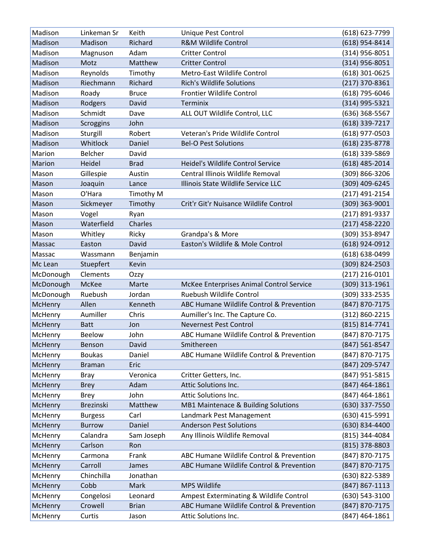| Madison   | Linkeman Sr      | Keith        | Unique Pest Control                      | (618) 623-7799     |
|-----------|------------------|--------------|------------------------------------------|--------------------|
| Madison   | Madison          | Richard      | <b>R&amp;M Wildlife Control</b>          | (618) 954-8414     |
| Madison   | Magnuson         | Adam         | <b>Critter Control</b>                   | $(314)$ 956-8051   |
| Madison   | Motz             | Matthew      | <b>Critter Control</b>                   | (314) 956-8051     |
| Madison   | Reynolds         | Timothy      | Metro-East Wildlife Control              | $(618)$ 301-0625   |
| Madison   | Riechmann        | Richard      | <b>Rich's Wildlife Solutions</b>         | $(217)$ 370-8361   |
| Madison   | Roady            | <b>Bruce</b> | Frontier Wildlife Control                | (618) 795-6046     |
| Madison   | Rodgers          | David        | <b>Terminix</b>                          | (314) 995-5321     |
| Madison   | Schmidt          | Dave         | ALL OUT Wildlife Control, LLC            | (636) 368-5567     |
| Madison   | Scroggins        | John         |                                          | (618) 339-7217     |
| Madison   | Sturgill         | Robert       | Veteran's Pride Wildlife Control         | $(618)$ 977-0503   |
| Madison   | Whitlock         | Daniel       | <b>Bel-O Pest Solutions</b>              | (618) 235-8778     |
| Marion    | <b>Belcher</b>   | David        |                                          | (618) 339-5869     |
| Marion    | Heidel           | <b>Brad</b>  | Heidel's Wildlife Control Service        | $(618)$ 485-2014   |
| Mason     | Gillespie        | Austin       | Central Illinois Wildlife Removal        | (309) 866-3206     |
| Mason     | Joaquin          | Lance        | Illinois State Wildlife Service LLC      | (309) 409-6245     |
| Mason     | O'Hara           | Timothy M    |                                          | $(217)$ 491-2154   |
| Mason     | Sickmeyer        | Timothy      | Crit'r Git'r Nuisance Wildlife Control   | (309) 363-9001     |
| Mason     | Vogel            | Ryan         |                                          | (217) 891-9337     |
| Mason     | Waterfield       | Charles      |                                          | $(217)$ 458-2220   |
| Mason     | Whitley          | Ricky        | Grandpa's & More                         | (309) 353-8947     |
| Massac    | Easton           | David        | Easton's Wildlife & Mole Control         | (618) 924-0912     |
| Massac    | Wassmann         | Benjamin     |                                          | (618) 638-0499     |
| Mc Lean   | Stuepfert        | Kevin        |                                          | (309) 824-2503     |
| McDonough | Clements         | Ozzy         |                                          | $(217)$ 216-0101   |
| McDonough | McKee            | Marte        | McKee Enterprises Animal Control Service | (309) 313-1961     |
| McDonough | Ruebush          | Jordan       | Ruebush Wildlife Control                 | (309) 333-2535     |
| McHenry   | Allen            | Kenneth      | ABC Humane Wildlife Control & Prevention | (847) 870-7175     |
| McHenry   | Aumiller         | Chris        | Aumiller's Inc. The Capture Co.          | (312) 860-2215     |
| McHenry   | <b>Batt</b>      | Jon          | <b>Nevernest Pest Control</b>            | (815) 814-7741     |
| McHenry   | <b>Beelow</b>    | John         | ABC Humane Wildlife Control & Prevention | (847) 870-7175     |
| McHenry   | Benson           | David        | Smithereen                               | (847) 561-8547     |
| McHenry   | <b>Boukas</b>    | Daniel       | ABC Humane Wildlife Control & Prevention | (847) 870-7175     |
| McHenry   | <b>Braman</b>    | Eric         |                                          | (847) 209-5747     |
| McHenry   | <b>Bray</b>      | Veronica     | Critter Getters, Inc.                    | (847) 951-5815     |
| McHenry   | <b>Brey</b>      | Adam         | Attic Solutions Inc.                     | (847) 464-1861     |
| McHenry   | <b>Brey</b>      | John         | Attic Solutions Inc.                     | $(847)$ 464-1861   |
| McHenry   | <b>Brezinski</b> | Matthew      | MB1 Maintenace & Building Solutions      | (630) 337-7550     |
| McHenry   | <b>Burgess</b>   | Carl         | Landmark Pest Management                 | (630) 415-5991     |
| McHenry   | <b>Burrow</b>    | Daniel       | <b>Anderson Pest Solutions</b>           | (630) 834-4400     |
| McHenry   | Calandra         | Sam Joseph   | Any Illinois Wildlife Removal            | (815) 344-4084     |
| McHenry   | Carlson          | Ron          |                                          | (815) 378-8803     |
| McHenry   | Carmona          | Frank        | ABC Humane Wildlife Control & Prevention | (847) 870-7175     |
| McHenry   | Carroll          | James        | ABC Humane Wildlife Control & Prevention | (847) 870-7175     |
| McHenry   | Chinchilla       | Jonathan     |                                          | (630) 822-5389     |
| McHenry   | Cobb             | Mark         | MPS Wildlife                             | $(847) 867 - 1113$ |
| McHenry   | Congelosi        | Leonard      | Ampest Exterminating & Wildlife Control  | (630) 543-3100     |
| McHenry   | Crowell          | <b>Brian</b> | ABC Humane Wildlife Control & Prevention | (847) 870-7175     |
| McHenry   | Curtis           | Jason        | Attic Solutions Inc.                     | (847) 464-1861     |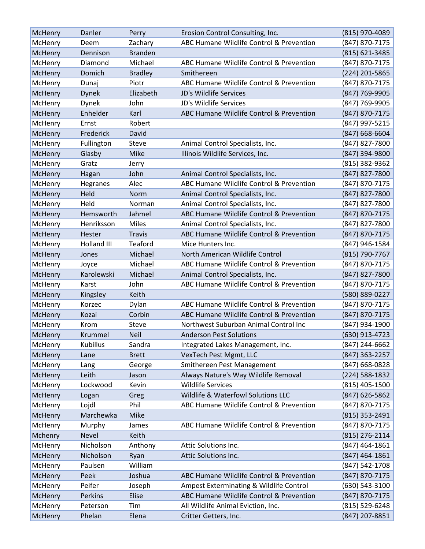| McHenry        | Danler       | Perry          | Erosion Control Consulting, Inc.         | (815) 970-4089     |
|----------------|--------------|----------------|------------------------------------------|--------------------|
| McHenry        | Deem         | Zachary        | ABC Humane Wildlife Control & Prevention | (847) 870-7175     |
| McHenry        | Dennison     | <b>Branden</b> |                                          | (815) 621-3485     |
| McHenry        | Diamond      | Michael        | ABC Humane Wildlife Control & Prevention | (847) 870-7175     |
| McHenry        | Domich       | <b>Bradley</b> | Smithereen                               | (224) 201-5865     |
| McHenry        | Dunaj        | Piotr          | ABC Humane Wildlife Control & Prevention | (847) 870-7175     |
| McHenry        | <b>Dynek</b> | Elizabeth      | JD's Wildlife Services                   | (847) 769-9905     |
| McHenry        | Dynek        | John           | JD's Wildlife Services                   | (847) 769-9905     |
| McHenry        | Enhelder     | Karl           | ABC Humane Wildlife Control & Prevention | (847) 870-7175     |
| McHenry        | Ernst        | Robert         |                                          | (847) 997-5215     |
| McHenry        | Frederick    | David          |                                          | $(847) 668 - 6604$ |
| McHenry        | Fullington   | Steve          | Animal Control Specialists, Inc.         | (847) 827-7800     |
| McHenry        | Glasby       | Mike           | Illinois Wildlife Services, Inc.         | (847) 394-9800     |
| McHenry        | Gratz        | Jerry          |                                          | (815) 382-9362     |
| McHenry        | Hagan        | John           | Animal Control Specialists, Inc.         | (847) 827-7800     |
| McHenry        | Hegranes     | Alec           | ABC Humane Wildlife Control & Prevention | (847) 870-7175     |
| McHenry        | Held         | Norm           | Animal Control Specialists, Inc.         | (847) 827-7800     |
| McHenry        | Held         | Norman         | Animal Control Specialists, Inc.         | (847) 827-7800     |
| McHenry        | Hemsworth    | Jahmel         | ABC Humane Wildlife Control & Prevention | (847) 870-7175     |
| McHenry        | Henriksson   | Miles          | Animal Control Specialists, Inc.         | (847) 827-7800     |
| McHenry        | Hester       | <b>Travis</b>  | ABC Humane Wildlife Control & Prevention | (847) 870-7175     |
| McHenry        | Holland III  | Teaford        | Mice Hunters Inc.                        | (847) 946-1584     |
| McHenry        | Jones        | Michael        | North American Wildlife Control          | (815) 790-7767     |
| McHenry        | Joyce        | Michael        | ABC Humane Wildlife Control & Prevention | (847) 870-7175     |
| McHenry        | Karolewski   | Michael        | Animal Control Specialists, Inc.         | (847) 827-7800     |
| McHenry        | Karst        | John           | ABC Humane Wildlife Control & Prevention | (847) 870-7175     |
| McHenry        | Kingsley     | Keith          |                                          | (580) 889-0227     |
| McHenry        | Korzec       | Dylan          | ABC Humane Wildlife Control & Prevention | (847) 870-7175     |
| McHenry        | Kozai        | Corbin         | ABC Humane Wildlife Control & Prevention | (847) 870-7175     |
| McHenry        | Krom         | Steve          | Northwest Suburban Animal Control Inc    | (847) 934-1900     |
| McHenry        | Krummel      | <b>Neil</b>    | <b>Anderson Pest Solutions</b>           | (630) 913-4723     |
| McHenry        | Kubillus     | Sandra         | Integrated Lakes Management, Inc.        | (847) 244-6662     |
| McHenry        | Lane         | <b>Brett</b>   | VexTech Pest Mgmt, LLC                   | (847) 363-2257     |
| McHenry        | Lang         | George         | Smithereen Pest Management               | (847) 668-0828     |
| McHenry        | Leith        | Jason          | Always Nature's Way Wildlife Removal     | (224) 588-1832     |
| McHenry        | Lockwood     | Kevin          | <b>Wildlife Services</b>                 | (815) 405-1500     |
| <b>McHenry</b> | Logan        | Greg           | Wildlife & Waterfowl Solutions LLC       | (847) 626-5862     |
| McHenry        | Lojdl        | Phil           | ABC Humane Wildlife Control & Prevention | (847) 870-7175     |
| McHenry        | Marchewka    | Mike           |                                          | (815) 353-2491     |
| McHenry        | Murphy       | James          | ABC Humane Wildlife Control & Prevention | (847) 870-7175     |
| Mchenry        | <b>Nevel</b> | Keith          |                                          | $(815)$ 276-2114   |
| McHenry        | Nicholson    | Anthony        | Attic Solutions Inc.                     | (847) 464-1861     |
| McHenry        | Nicholson    | Ryan           | Attic Solutions Inc.                     | $(847)$ 464-1861   |
| McHenry        | Paulsen      | William        |                                          | (847) 542-1708     |
| <b>McHenry</b> | Peek         | Joshua         | ABC Humane Wildlife Control & Prevention | (847) 870-7175     |
| McHenry        | Peifer       | Joseph         | Ampest Exterminating & Wildlife Control  | (630) 543-3100     |
| McHenry        | Perkins      | Elise          | ABC Humane Wildlife Control & Prevention | (847) 870-7175     |
| McHenry        | Peterson     | Tim            | All Wildlife Animal Eviction, Inc.       | (815) 529-6248     |
| McHenry        | Phelan       | Elena          | Critter Getters, Inc.                    | (847) 207-8851     |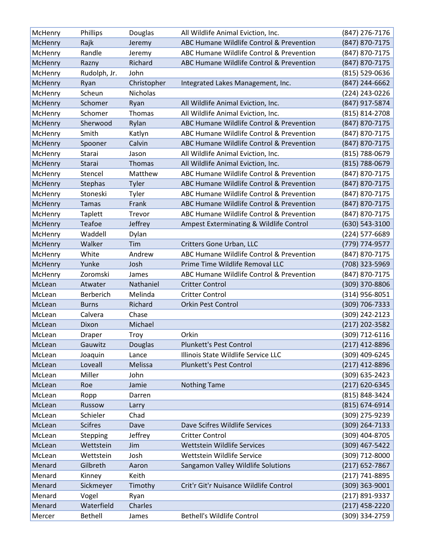| McHenry        | Phillips       | Douglas         | All Wildlife Animal Eviction, Inc.       | (847) 276-7176     |
|----------------|----------------|-----------------|------------------------------------------|--------------------|
| McHenry        | Rajk           | Jeremy          | ABC Humane Wildlife Control & Prevention | (847) 870-7175     |
| McHenry        | Randle         | Jeremy          | ABC Humane Wildlife Control & Prevention | (847) 870-7175     |
| McHenry        | Razny          | Richard         | ABC Humane Wildlife Control & Prevention | (847) 870-7175     |
| McHenry        | Rudolph, Jr.   | John            |                                          | (815) 529-0636     |
| McHenry        | Ryan           | Christopher     | Integrated Lakes Management, Inc.        | (847) 244-6662     |
| McHenry        | Scheun         | <b>Nicholas</b> |                                          | (224) 243-0226     |
| McHenry        | Schomer        | Ryan            | All Wildlife Animal Eviction, Inc.       | (847) 917-5874     |
| McHenry        | Schomer        | Thomas          | All Wildlife Animal Eviction, Inc.       | (815) 814-2708     |
| McHenry        | Sherwood       | Rylan           | ABC Humane Wildlife Control & Prevention | (847) 870-7175     |
| McHenry        | Smith          | Katlyn          | ABC Humane Wildlife Control & Prevention | (847) 870-7175     |
| McHenry        | Spooner        | Calvin          | ABC Humane Wildlife Control & Prevention | (847) 870-7175     |
| McHenry        | Starai         | Jason           | All Wildlife Animal Eviction, Inc.       | (815) 788-0679     |
| McHenry        | Starai         | Thomas          | All Wildlife Animal Eviction, Inc.       | (815) 788-0679     |
| McHenry        | Stencel        | Matthew         | ABC Humane Wildlife Control & Prevention | (847) 870-7175     |
| McHenry        | Stephas        | Tyler           | ABC Humane Wildlife Control & Prevention | (847) 870-7175     |
| McHenry        | Stoneski       | Tyler           | ABC Humane Wildlife Control & Prevention | (847) 870-7175     |
| McHenry        | <b>Tamas</b>   | Frank           | ABC Humane Wildlife Control & Prevention | (847) 870-7175     |
| McHenry        | <b>Taplett</b> | Trevor          | ABC Humane Wildlife Control & Prevention | (847) 870-7175     |
| McHenry        | Teafoe         | Jeffrey         | Ampest Exterminating & Wildlife Control  | $(630) 543 - 3100$ |
| McHenry        | Waddell        | Dylan           |                                          | (224) 577-6689     |
| McHenry        | Walker         | Tim             | Critters Gone Urban, LLC                 | (779) 774-9577     |
| McHenry        | White          | Andrew          | ABC Humane Wildlife Control & Prevention | (847) 870-7175     |
| <b>McHenry</b> | Yunke          | Josh            | Prime Time Wildlife Removal LLC          | (708) 323-5969     |
| McHenry        | Zoromski       | James           | ABC Humane Wildlife Control & Prevention | (847) 870-7175     |
| McLean         | Atwater        | Nathaniel       | <b>Critter Control</b>                   | (309) 370-8806     |
| McLean         | Berberich      | Melinda         | <b>Critter Control</b>                   | $(314)$ 956-8051   |
| McLean         | <b>Burns</b>   | Richard         | Orkin Pest Control                       | (309) 706-7333     |
| McLean         | Calvera        | Chase           |                                          | (309) 242-2123     |
| McLean         | Dixon          | Michael         |                                          | (217) 202-3582     |
| McLean         | Draper         | Troy            | Orkin                                    | (309) 712-6116     |
| McLean         | Gauwitz        | Douglas         | Plunkett's Pest Control                  | $(217)$ 412-8896   |
| McLean         | Joaquin        | Lance           | Illinois State Wildlife Service LLC      | (309) 409-6245     |
| McLean         | Loveall        | Melissa         | Plunkett's Pest Control                  | (217) 412-8896     |
| McLean         | Miller         | John            |                                          | (309) 635-2423     |
| McLean         | Roe            | Jamie           | <b>Nothing Tame</b>                      | (217) 620-6345     |
| McLean         | Ropp           | Darren          |                                          | (815) 848-3424     |
| McLean         | Russow         | Larry           |                                          | $(815) 674 - 6914$ |
| McLean         | Schieler       | Chad            |                                          | (309) 275-9239     |
| McLean         | <b>Scifres</b> | Dave            | Dave Scifres Wildlife Services           | (309) 264-7133     |
| McLean         | Stepping       | Jeffrey         | <b>Critter Control</b>                   | (309) 404-8705     |
| McLean         | Wettstein      | Jim             | Wettstein Wildlife Services              | (309) 467-5422     |
| McLean         | Wettstein      | Josh            | Wettstein Wildlife Service               | (309) 712-8000     |
| Menard         | Gilbreth       | Aaron           | Sangamon Valley Wildlife Solutions       | (217) 652-7867     |
| Menard         | Kinney         | Keith           |                                          | (217) 741-8895     |
| Menard         | Sickmeyer      | Timothy         | Crit'r Git'r Nuisance Wildlife Control   | (309) 363-9001     |
| Menard         | Vogel          | Ryan            |                                          | (217) 891-9337     |
| Menard         | Waterfield     | Charles         |                                          | (217) 458-2220     |
| Mercer         | <b>Bethell</b> | James           | <b>Bethell's Wildlife Control</b>        | (309) 334-2759     |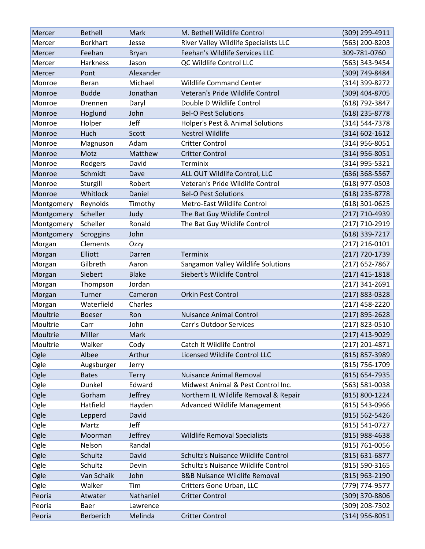| Mercer     | <b>Bethell</b>  | Mark         | M. Bethell Wildlife Control              | (309) 299-4911     |
|------------|-----------------|--------------|------------------------------------------|--------------------|
| Mercer     | <b>Borkhart</b> | Jesse        | River Valley Wildlife Specialists LLC    | (563) 200-8203     |
| Mercer     | Feehan          | <b>Bryan</b> | Feehan's Wildlife Services LLC           | 309-781-0760       |
| Mercer     | <b>Harkness</b> | Jason        | QC Wildlife Control LLC                  | (563) 343-9454     |
| Mercer     | Pont            | Alexander    |                                          | (309) 749-8484     |
| Monroe     | Beran           | Michael      | <b>Wildlife Command Center</b>           | (314) 399-8272     |
| Monroe     | <b>Budde</b>    | Jonathan     | Veteran's Pride Wildlife Control         | (309) 404-8705     |
| Monroe     | Drennen         | Daryl        | Double D Wildlife Control                | (618) 792-3847     |
| Monroe     | Hoglund         | John         | <b>Bel-O Pest Solutions</b>              | (618) 235-8778     |
| Monroe     | Holper          | Jeff         | Holper's Pest & Animal Solutions         | (314) 544-7378     |
| Monroe     | Huch            | Scott        | <b>Nestrel Wildlife</b>                  | $(314) 602 - 1612$ |
| Monroe     | Magnuson        | Adam         | <b>Critter Control</b>                   | (314) 956-8051     |
| Monroe     | Motz            | Matthew      | <b>Critter Control</b>                   | $(314)$ 956-8051   |
| Monroe     | Rodgers         | David        | Terminix                                 | (314) 995-5321     |
| Monroe     | Schmidt         | Dave         | ALL OUT Wildlife Control, LLC            | $(636)$ 368-5567   |
| Monroe     | Sturgill        | Robert       | Veteran's Pride Wildlife Control         | $(618)$ 977-0503   |
| Monroe     | Whitlock        | Daniel       | <b>Bel-O Pest Solutions</b>              | $(618)$ 235-8778   |
| Montgomery | Reynolds        | Timothy      | Metro-East Wildlife Control              | (618) 301-0625     |
| Montgomery | Scheller        | Judy         | The Bat Guy Wildlife Control             | (217) 710-4939     |
| Montgomery | Scheller        | Ronald       | The Bat Guy Wildlife Control             | (217) 710-2919     |
| Montgomery | Scroggins       | John         |                                          | $(618)$ 339-7217   |
| Morgan     | Clements        | Ozzy         |                                          | $(217)$ 216-0101   |
| Morgan     | Elliott         | Darren       | Terminix                                 | (217) 720-1739     |
| Morgan     | Gilbreth        | Aaron        | Sangamon Valley Wildlife Solutions       | $(217)$ 652-7867   |
| Morgan     | Siebert         | <b>Blake</b> | Siebert's Wildlife Control               | $(217)$ 415-1818   |
| Morgan     | Thompson        | Jordan       |                                          | $(217)$ 341-2691   |
| Morgan     | Turner          | Cameron      | <b>Orkin Pest Control</b>                | $(217) 883 - 0328$ |
| Morgan     | Waterfield      | Charles      |                                          | $(217)$ 458-2220   |
| Moultrie   | <b>Boeser</b>   | Ron          | <b>Nuisance Animal Control</b>           | (217) 895-2628     |
| Moultrie   | Carr            | John         | <b>Carr's Outdoor Services</b>           | (217) 823-0510     |
| Moultrie   | Miller          | Mark         |                                          | (217) 413-9029     |
| Moultrie   | Walker          | Cody         | Catch It Wildlife Control                | $(217)$ 201-4871   |
| Ogle       | Albee           | Arthur       | Licensed Wildlife Control LLC            | (815) 857-3989     |
| Ogle       | Augsburger      | Jerry        |                                          | (815) 756-1709     |
| Ogle       | <b>Bates</b>    | Terry        | <b>Nuisance Animal Removal</b>           | (815) 654-7935     |
| Ogle       | Dunkel          | Edward       | Midwest Animal & Pest Control Inc.       | (563) 581-0038     |
| Ogle       | Gorham          | Jeffrey      | Northern IL Wildlife Removal & Repair    | (815) 800-1224     |
| Ogle       | Hatfield        | Hayden       | <b>Advanced Wildlife Management</b>      | (815) 543-0966     |
| Ogle       | Lepperd         | David        |                                          | (815) 562-5426     |
| Ogle       | Martz           | Jeff         |                                          | (815) 541-0727     |
| Ogle       | Moorman         | Jeffrey      | <b>Wildlife Removal Specialists</b>      | (815) 988-4638     |
| Ogle       | Nelson          | Randal       |                                          | (815) 761-0056     |
| Ogle       | Schultz         | David        | Schultz's Nuisance Wildlife Control      | $(815) 631 - 6877$ |
| Ogle       | Schultz         | Devin        | Schultz's Nuisance Wildlife Control      | (815) 590-3165     |
| Ogle       | Van Schaik      | John         | <b>B&amp;B Nuisance Wildlife Removal</b> | (815) 963-2190     |
| Ogle       | Walker          | Tim          | Critters Gone Urban, LLC                 | (779) 774-9577     |
| Peoria     | Atwater         | Nathaniel    | <b>Critter Control</b>                   | (309) 370-8806     |
| Peoria     | Baer            | Lawrence     |                                          | (309) 208-7302     |
| Peoria     | Berberich       | Melinda      | <b>Critter Control</b>                   | (314) 956-8051     |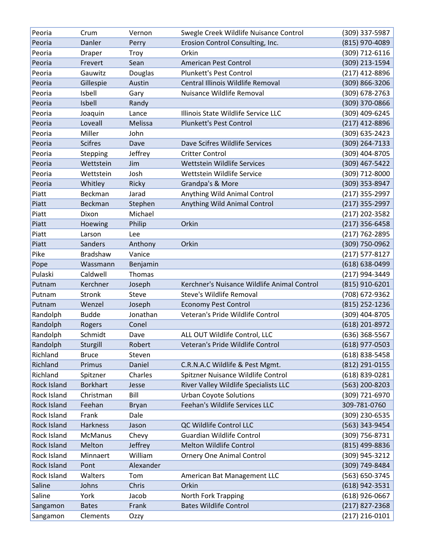| Peoria               | Crum                     | Vernon       | Swegle Creek Wildlife Nuisance Control      | (309) 337-5987                     |
|----------------------|--------------------------|--------------|---------------------------------------------|------------------------------------|
| Peoria               | Danler                   | Perry        | Erosion Control Consulting, Inc.            | (815) 970-4089                     |
| Peoria               | Draper                   | Troy         | Orkin                                       | (309) 712-6116                     |
| Peoria               | Frevert                  | Sean         | American Pest Control                       | (309) 213-1594                     |
| Peoria               | Gauwitz                  | Douglas      | <b>Plunkett's Pest Control</b>              | (217) 412-8896                     |
| Peoria               | Gillespie                | Austin       | Central Illinois Wildlife Removal           | $(309) 866 - 3206$                 |
| Peoria               | Isbell                   | Gary         | Nuisance Wildlife Removal                   | $(309)$ 678-2763                   |
| Peoria               | Isbell                   | Randy        |                                             | (309) 370-0866                     |
| Peoria               | Joaquin                  | Lance        | Illinois State Wildlife Service LLC         | (309) 409-6245                     |
| Peoria               | Loveall                  | Melissa      | <b>Plunkett's Pest Control</b>              | $(217)$ 412-8896                   |
| Peoria               | Miller                   | John         |                                             | (309) 635-2423                     |
| Peoria               | <b>Scifres</b>           | Dave         | Dave Scifres Wildlife Services              | (309) 264-7133                     |
| Peoria               | Stepping                 | Jeffrey      | <b>Critter Control</b>                      | (309) 404-8705                     |
| Peoria               | Wettstein                | Jim          | Wettstein Wildlife Services                 | (309) 467-5422                     |
| Peoria               | Wettstein                | Josh         | Wettstein Wildlife Service                  | (309) 712-8000                     |
| Peoria               | Whitley                  | Ricky        | Grandpa's & More                            | (309) 353-8947                     |
| Piatt                | Beckman                  | Jarad        | Anything Wild Animal Control                | (217) 355-2997                     |
| Piatt                | Beckman                  | Stephen      | Anything Wild Animal Control                | $(217)$ 355-2997                   |
| Piatt                | Dixon                    | Michael      |                                             | (217) 202-3582                     |
| Piatt                | Hoewing                  | Philip       | Orkin                                       | $(217)$ 356-6458                   |
| Piatt                | Larson                   | Lee          |                                             | $(217) 762 - 2895$                 |
| Piatt                | <b>Sanders</b>           | Anthony      | Orkin                                       | (309) 750-0962                     |
| Pike                 | Bradshaw                 | Vanice       |                                             | $(217)$ 577-8127                   |
| Pope                 | Wassmann                 | Benjamin     |                                             | $(618) 638 - 0499$                 |
| Pulaski              | Caldwell                 | Thomas       |                                             | (217) 994-3449                     |
| Putnam               | Kerchner                 | Joseph       | Kerchner's Nuisance Wildlife Animal Control | (815) 910-6201                     |
| Putnam               | Stronk                   | Steve        | Steve's Wildlife Removal                    | (708) 672-9362                     |
| Putnam               | Wenzel                   | Joseph       | <b>Economy Pest Control</b>                 | (815) 252-1236                     |
| Randolph             | <b>Budde</b>             | Jonathan     | Veteran's Pride Wildlife Control            | (309) 404-8705                     |
| Randolph             | Rogers                   | Conel        |                                             | (618) 201-8972                     |
| Randolph             | Schmidt                  | Dave         | ALL OUT Wildlife Control, LLC               | (636) 368-5567                     |
| Randolph             | Sturgill                 | Robert       | Veteran's Pride Wildlife Control            | $(618)$ 977-0503                   |
| Richland             | <b>Bruce</b>             | Steven       |                                             | (618) 838-5458                     |
| Richland             | Primus                   | Daniel       | C.R.N.A.C Wildlife & Pest Mgmt.             | (812) 291-0155                     |
| Richland             | Spitzner                 | Charles      | Spitzner Nuisance Wildlife Control          | (618) 839-0281                     |
| <b>Rock Island</b>   | <b>Borkhart</b>          | Jesse        | River Valley Wildlife Specialists LLC       | (563) 200-8203                     |
| Rock Island          | Christman                | Bill         | <b>Urban Coyote Solutions</b>               | (309) 721-6970                     |
| Rock Island          | Feehan                   | <b>Bryan</b> | Feehan's Wildlife Services LLC              | 309-781-0760                       |
| Rock Island          | Frank                    | Dale         |                                             | (309) 230-6535                     |
| <b>Rock Island</b>   |                          |              |                                             |                                    |
| Rock Island          | Harkness                 | Jason        | QC Wildlife Control LLC                     | (563) 343-9454                     |
|                      | <b>McManus</b>           | Chevy        | <b>Guardian Wildlife Control</b>            | (309) 756-8731                     |
| Rock Island          | Melton                   | Jeffrey      | Melton Wildlife Control                     | (815) 499-8836                     |
| Rock Island          | Minnaert                 | William      | <b>Ornery One Animal Control</b>            | (309) 945-3212                     |
| Rock Island          | Pont                     | Alexander    |                                             | (309) 749-8484                     |
| Rock Island          | Walters                  | Tom          | American Bat Management LLC                 | (563) 650-3745                     |
| Saline               | Johns                    | Chris        | Orkin                                       | (618) 942-3531                     |
| Saline               | York                     | Jacob        | North Fork Trapping                         | $(618)$ 926-0667                   |
| Sangamon<br>Sangamon | <b>Bates</b><br>Clements | Frank        | <b>Bates Wildlife Control</b>               | (217) 827-2368<br>$(217)$ 216-0101 |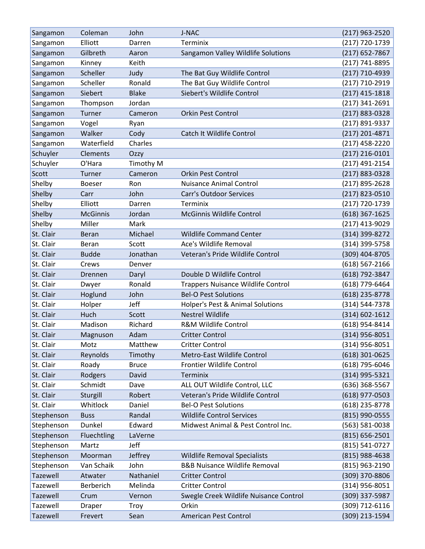| Sangamon   | Coleman         | John         | J-NAC                                     | (217) 963-2520     |
|------------|-----------------|--------------|-------------------------------------------|--------------------|
| Sangamon   | Elliott         | Darren       | Terminix                                  | (217) 720-1739     |
| Sangamon   | Gilbreth        | Aaron        | Sangamon Valley Wildlife Solutions        | $(217)$ 652-7867   |
| Sangamon   | Kinney          | Keith        |                                           | (217) 741-8895     |
| Sangamon   | Scheller        | Judy         | The Bat Guy Wildlife Control              | (217) 710-4939     |
| Sangamon   | Scheller        | Ronald       | The Bat Guy Wildlife Control              | (217) 710-2919     |
| Sangamon   | Siebert         | <b>Blake</b> | Siebert's Wildlife Control                | (217) 415-1818     |
| Sangamon   | Thompson        | Jordan       |                                           | $(217)$ 341-2691   |
| Sangamon   | Turner          | Cameron      | <b>Orkin Pest Control</b>                 | (217) 883-0328     |
| Sangamon   | Vogel           | Ryan         |                                           | (217) 891-9337     |
| Sangamon   | Walker          | Cody         | Catch It Wildlife Control                 | $(217)$ 201-4871   |
| Sangamon   | Waterfield      | Charles      |                                           | (217) 458-2220     |
| Schuyler   | Clements        | Ozzy         |                                           | $(217)$ 216-0101   |
| Schuyler   | O'Hara          | Timothy M    |                                           | (217) 491-2154     |
| Scott      | Turner          | Cameron      | <b>Orkin Pest Control</b>                 | (217) 883-0328     |
| Shelby     | <b>Boeser</b>   | Ron          | <b>Nuisance Animal Control</b>            | (217) 895-2628     |
| Shelby     | Carr            | John         | <b>Carr's Outdoor Services</b>            | (217) 823-0510     |
| Shelby     | Elliott         | Darren       | Terminix                                  | (217) 720-1739     |
| Shelby     | <b>McGinnis</b> | Jordan       | <b>McGinnis Wildlife Control</b>          | (618) 367-1625     |
| Shelby     | Miller          | Mark         |                                           | (217) 413-9029     |
| St. Clair  | <b>Beran</b>    | Michael      | <b>Wildlife Command Center</b>            | (314) 399-8272     |
| St. Clair  | <b>Beran</b>    | Scott        | Ace's Wildlife Removal                    | (314) 399-5758     |
| St. Clair  | <b>Budde</b>    | Jonathan     | Veteran's Pride Wildlife Control          | (309) 404-8705     |
| St. Clair  | Crews           | Denver       |                                           | $(618) 567 - 2166$ |
| St. Clair  | Drennen         | Daryl        | Double D Wildlife Control                 | (618) 792-3847     |
| St. Clair  | Dwyer           | Ronald       | <b>Trappers Nuisance Wildlife Control</b> | (618) 779-6464     |
| St. Clair  | Hoglund         | John         | <b>Bel-O Pest Solutions</b>               | $(618)$ 235-8778   |
| St. Clair  | Holper          | Jeff         | Holper's Pest & Animal Solutions          | (314) 544-7378     |
| St. Clair  | Huch            | Scott        | <b>Nestrel Wildlife</b>                   | $(314) 602 - 1612$ |
| St. Clair  | Madison         | Richard      | <b>R&amp;M Wildlife Control</b>           | (618) 954-8414     |
| St. Clair  | Magnuson        | Adam         | <b>Critter Control</b>                    | (314) 956-8051     |
| St. Clair  | Motz            | Matthew      | <b>Critter Control</b>                    | (314) 956-8051     |
| St. Clair  | Reynolds        | Timothy      | Metro-East Wildlife Control               | $(618)$ 301-0625   |
| St. Clair  | Roady           | <b>Bruce</b> | Frontier Wildlife Control                 | (618) 795-6046     |
| St. Clair  | Rodgers         | David        | Terminix                                  | (314) 995-5321     |
| St. Clair  | Schmidt         | Dave         | ALL OUT Wildlife Control, LLC             | (636) 368-5567     |
| St. Clair  | Sturgill        | Robert       | Veteran's Pride Wildlife Control          | $(618)$ 977-0503   |
| St. Clair  | Whitlock        | Daniel       | <b>Bel-O Pest Solutions</b>               | (618) 235-8778     |
| Stephenson | <b>Buss</b>     | Randal       | <b>Wildlife Control Services</b>          | (815) 990-0555     |
| Stephenson | Dunkel          | Edward       | Midwest Animal & Pest Control Inc.        | (563) 581-0038     |
| Stephenson | Fluechtling     | LaVerne      |                                           | $(815) 656 - 2501$ |
| Stephenson | Martz           | Jeff         |                                           | (815) 541-0727     |
| Stephenson | Moorman         | Jeffrey      | <b>Wildlife Removal Specialists</b>       | (815) 988-4638     |
| Stephenson | Van Schaik      | John         | <b>B&amp;B Nuisance Wildlife Removal</b>  | (815) 963-2190     |
| Tazewell   | Atwater         | Nathaniel    | <b>Critter Control</b>                    | (309) 370-8806     |
| Tazewell   | Berberich       | Melinda      | <b>Critter Control</b>                    | $(314)$ 956-8051   |
| Tazewell   | Crum            | Vernon       | Swegle Creek Wildlife Nuisance Control    | (309) 337-5987     |
| Tazewell   | Draper          | Troy         | Orkin                                     | (309) 712-6116     |
| Tazewell   | Frevert         | Sean         | American Pest Control                     | (309) 213-1594     |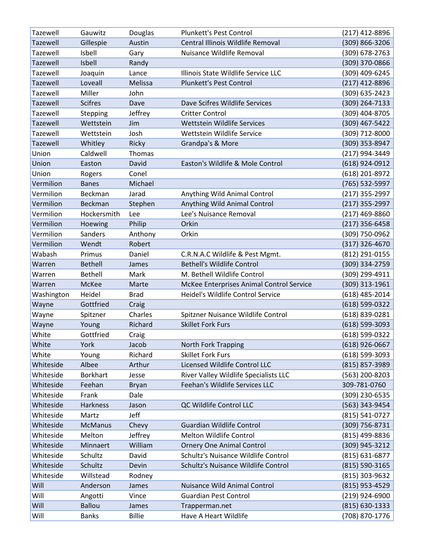| Tazewell        | Gauwitz         | Douglas                | Plunkett's Pest Control                  | $(217)$ 412-8896                     |
|-----------------|-----------------|------------------------|------------------------------------------|--------------------------------------|
| <b>Tazewell</b> | Gillespie       | Austin                 | Central Illinois Wildlife Removal        | (309) 866-3206                       |
| Tazewell        | Isbell          | Gary                   | Nuisance Wildlife Removal                | (309) 678-2763                       |
| Tazewell        | Isbell          | Randy                  |                                          | (309) 370-0866                       |
| Tazewell        | Joaquin         | Lance                  | Illinois State Wildlife Service LLC      | (309) 409-6245                       |
| <b>Tazewell</b> | Loveall         | <b>Melissa</b>         | <b>Plunkett's Pest Control</b>           | (217) 412-8896                       |
| Tazewell        | Miller          | John                   |                                          | (309) 635-2423                       |
| <b>Tazewell</b> | <b>Scifres</b>  | Dave                   | Dave Scifres Wildlife Services           | (309) 264-7133                       |
| <b>Tazewell</b> | Stepping        | Jeffrey                | <b>Critter Control</b>                   | (309) 404-8705                       |
| <b>Tazewell</b> | Wettstein       | Jim                    | Wettstein Wildlife Services              | (309) 467-5422                       |
| <b>Tazewell</b> | Wettstein       | Josh                   | Wettstein Wildlife Service               | (309) 712-8000                       |
| <b>Tazewell</b> | Whitley         | Ricky                  | Grandpa's & More                         | (309) 353-8947                       |
| Union           | Caldwell        | Thomas                 |                                          | (217) 994-3449                       |
| Union           | Easton          | David                  | Easton's Wildlife & Mole Control         | (618) 924-0912                       |
| Union           | Rogers          | Conel                  |                                          | (618) 201-8972                       |
| Vermilion       | <b>Banes</b>    | Michael                |                                          | (765) 532-5997                       |
| Vermilion       | Beckman         | Jarad                  | Anything Wild Animal Control             | (217) 355-2997                       |
| Vermilion       | Beckman         | Stephen                | Anything Wild Animal Control             | (217) 355-2997                       |
| Vermilion       | Hockersmith     | Lee                    | Lee's Nuisance Removal                   | $(217)$ 469-8860                     |
| Vermilion       | Hoewing         | Philip                 | Orkin                                    | $(217)$ 356-6458                     |
| Vermilion       | Sanders         | Anthony                | Orkin                                    | (309) 750-0962                       |
| Vermilion       | Wendt           | Robert                 |                                          | (317) 326-4670                       |
| Wabash          | Primus          | Daniel                 | C.R.N.A.C Wildlife & Pest Mgmt.          | (812) 291-0155                       |
| Warren          | <b>Bethell</b>  | James                  | <b>Bethell's Wildlife Control</b>        | (309) 334-2759                       |
| Warren          | <b>Bethell</b>  | Mark                   | M. Bethell Wildlife Control              | (309) 299-4911                       |
|                 |                 |                        |                                          |                                      |
| Warren          | McKee           | Marte                  | McKee Enterprises Animal Control Service | (309) 313-1961                       |
| Washington      | Heidel          | <b>Brad</b>            | Heidel's Wildlife Control Service        | (618) 485-2014                       |
| Wayne           | Gottfried       | Craig                  |                                          | (618) 599-0322                       |
| Wayne           | Spitzner        | Charles                | Spitzner Nuisance Wildlife Control       | (618) 839-0281                       |
| Wayne           | Young           | Richard                | <b>Skillet Fork Furs</b>                 | $(618) 599 - 3093$                   |
| White           | Gottfried       | Craig                  |                                          | (618) 599-0322                       |
| White           | York            | Jacob                  | North Fork Trapping                      | $(618)$ 926-0667                     |
| White           | Young           | Richard                | <b>Skillet Fork Furs</b>                 | $(618)$ 599-3093                     |
| Whiteside       | Albee           | Arthur                 | Licensed Wildlife Control LLC            | (815) 857-3989                       |
| Whiteside       | <b>Borkhart</b> | Jesse                  | River Valley Wildlife Specialists LLC    | (563) 200-8203                       |
| Whiteside       | Feehan          | <b>Bryan</b>           | Feehan's Wildlife Services LLC           | 309-781-0760                         |
| Whiteside       | Frank           | Dale                   |                                          | (309) 230-6535                       |
| Whiteside       | Harkness        | Jason                  | QC Wildlife Control LLC                  | (563) 343-9454                       |
| Whiteside       | Martz           | Jeff                   |                                          | (815) 541-0727                       |
| Whiteside       | <b>McManus</b>  | Chevy                  | <b>Guardian Wildlife Control</b>         | (309) 756-8731                       |
| Whiteside       | Melton          | Jeffrey                | <b>Melton Wildlife Control</b>           | (815) 499-8836                       |
| Whiteside       | Minnaert        | William                | <b>Ornery One Animal Control</b>         | (309) 945-3212                       |
| Whiteside       | Schultz         | David                  | Schultz's Nuisance Wildlife Control      | (815) 631-6877                       |
| Whiteside       | Schultz         | Devin                  | Schultz's Nuisance Wildlife Control      | (815) 590-3165                       |
| Whiteside       | Willstead       | Rodney                 |                                          | (815) 303-9632                       |
| Will            | Anderson        | James                  | Nuisance Wild Animal Control             | (815) 953-4529                       |
| Will            | Angotti         | Vince                  | <b>Guardian Pest Control</b>             | (219) 924-6900                       |
| Will<br>Will    | <b>Ballou</b>   | James<br><b>Billie</b> | Trapperman.net<br>Have A Heart Wildlife  | $(815) 630 - 1333$<br>(708) 870-1776 |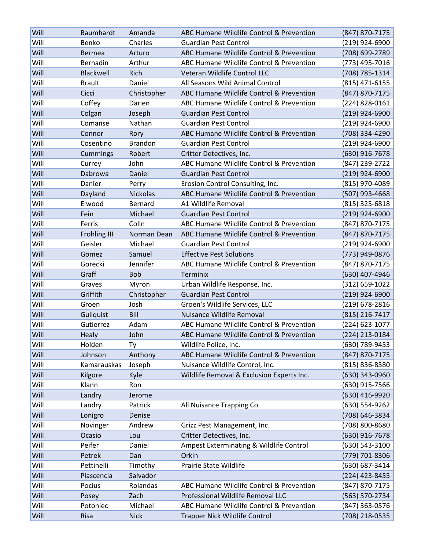| Will | Baumhardt     | Amanda          | ABC Humane Wildlife Control & Prevention  | (847) 870-7175   |
|------|---------------|-----------------|-------------------------------------------|------------------|
| Will | Benko         | Charles         | <b>Guardian Pest Control</b>              | (219) 924-6900   |
| Will | <b>Bermea</b> | Arturo          | ABC Humane Wildlife Control & Prevention  | (708) 699-2789   |
| Will | Bernadin      | Arthur          | ABC Humane Wildlife Control & Prevention  | (773) 495-7016   |
| Will | Blackwell     | Rich            | Veteran Wildlife Control LLC              | (708) 785-1314   |
| Will | <b>Brault</b> | Daniel          | All Seasons Wild Animal Control           | (815) 471-6155   |
| Will | Cicci         | Christopher     | ABC Humane Wildlife Control & Prevention  | (847) 870-7175   |
| Will | Coffey        | Darien          | ABC Humane Wildlife Control & Prevention  | (224) 828-0161   |
| Will | Colgan        | Joseph          | <b>Guardian Pest Control</b>              | $(219)$ 924-6900 |
| Will | Comanse       | Nathan          | <b>Guardian Pest Control</b>              | (219) 924-6900   |
| Will | Connor        | Rory            | ABC Humane Wildlife Control & Prevention  | (708) 334-4290   |
| Will | Cosentino     | <b>Brandon</b>  | <b>Guardian Pest Control</b>              | (219) 924-6900   |
| Will | Cummings      | Robert          | Critter Detectives, Inc.                  | (630) 916-7678   |
| Will | Currey        | John            | ABC Humane Wildlife Control & Prevention  | (847) 239-2722   |
| Will | Dabrowa       | Daniel          | <b>Guardian Pest Control</b>              | $(219)$ 924-6900 |
| Will | Danler        | Perry           | Erosion Control Consulting, Inc.          | (815) 970-4089   |
| Will | Dayland       | <b>Nickolas</b> | ABC Humane Wildlife Control & Prevention  | (507) 993-4668   |
| Will | Elwood        | Bernard         | A1 Wildlife Removal                       | (815) 325-6818   |
| Will | Fein          | Michael         | <b>Guardian Pest Control</b>              | (219) 924-6900   |
| Will | Ferris        | Colin           | ABC Humane Wildlife Control & Prevention  | (847) 870-7175   |
| Will | Frohling III  | Norman Dean     | ABC Humane Wildlife Control & Prevention  | (847) 870-7175   |
| Will | Geisler       | Michael         | <b>Guardian Pest Control</b>              | (219) 924-6900   |
| Will | Gomez         | Samuel          | <b>Effective Pest Solutions</b>           | (773) 949-0876   |
| Will | Gorecki       | Jennifer        | ABC Humane Wildlife Control & Prevention  | (847) 870-7175   |
| Will | Graff         | <b>Bob</b>      | Terminix                                  | (630) 407-4946   |
| Will | Graves        | Myron           | Urban Wildlife Response, Inc.             | (312) 659-1022   |
| Will | Griffith      | Christopher     | <b>Guardian Pest Control</b>              | $(219)$ 924-6900 |
| Will | Groen         | Josh            | Groen's Wildlife Services, LLC            | (219) 678-2816   |
| Will | Gullquist     | Bill            | Nuisance Wildlife Removal                 | (815) 216-7417   |
| Will | Gutierrez     | Adam            | ABC Humane Wildlife Control & Prevention  | (224) 623-1077   |
| Will | Healy         | John            | ABC Humane Wildlife Control & Prevention  | (224) 213-0184   |
| Will | Holden        | Ty              | Wildlife Police, Inc.                     | (630) 789-9453   |
| Will | Johnson       | Anthony         | ABC Humane Wildlife Control & Prevention  | (847) 870-7175   |
| Will | Kamarauskas   | Joseph          | Nuisance Wildlife Control, Inc.           | (815) 836-8380   |
| Will | Kilgore       | Kyle            | Wildlife Removal & Exclusion Experts Inc. | (630) 343-0960   |
| Will | Klann         | Ron             |                                           | (630) 915-7566   |
| Will | Landry        | Jerome          |                                           | (630) 416-9920   |
| Will | Landry        | Patrick         | All Nuisance Trapping Co.                 | (630) 554-9262   |
| Will | Lonigro       | Denise          |                                           | (708) 646-3834   |
| Will | Novinger      | Andrew          | Grizz Pest Management, Inc.               | (708) 800-8680   |
| Will | Ocasio        | Lou             | Critter Detectives, Inc.                  | (630) 916-7678   |
| Will | Peifer        | Daniel          | Ampest Exterminating & Wildlife Control   | (630) 543-3100   |
| Will | Petrek        | Dan             | Orkin                                     | (779) 701-8306   |
| Will | Pettinelli    | Timothy         | Prairie State Wildlife                    | (630) 687-3414   |
| Will | Plascencia    | Salvador        |                                           | (224) 423-8455   |
| Will | Pocius        | Rolandas        | ABC Humane Wildlife Control & Prevention  | (847) 870-7175   |
| Will | Posey         | Zach            | Professional Wildlife Removal LLC         | (563) 370-2734   |
| Will | Potoniec      | Michael         | ABC Humane Wildlife Control & Prevention  | (847) 363-0576   |
| Will | Risa          | <b>Nick</b>     | <b>Trapper Nick Wildlife Control</b>      | (708) 218-0535   |